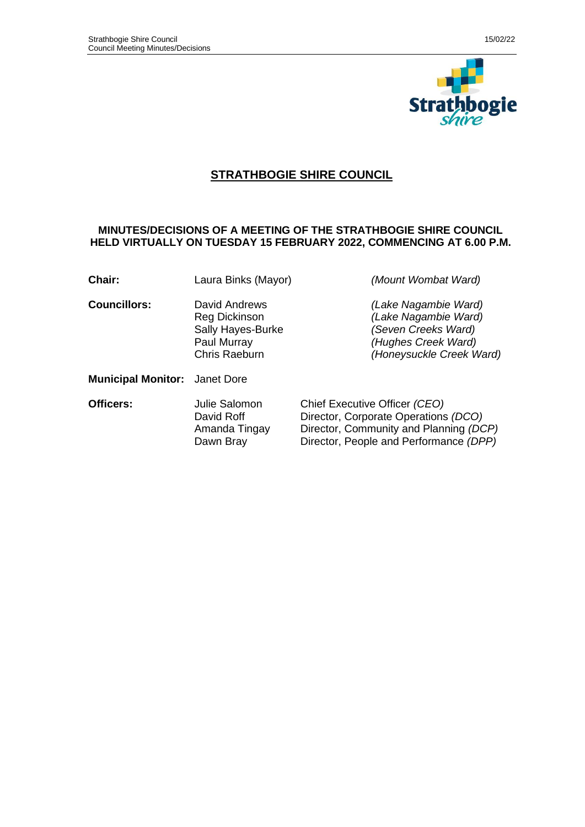

# **STRATHBOGIE SHIRE COUNCIL**

### **MINUTES/DECISIONS OF A MEETING OF THE STRATHBOGIE SHIRE COUNCIL HELD VIRTUALLY ON TUESDAY 15 FEBRUARY 2022, COMMENCING AT 6.00 P.M.**

| Chair:                               | Laura Binks (Mayor)                                                                        | (Mount Wombat Ward)                                                                                                                                       |  |
|--------------------------------------|--------------------------------------------------------------------------------------------|-----------------------------------------------------------------------------------------------------------------------------------------------------------|--|
| <b>Councillors:</b>                  | David Andrews<br>Reg Dickinson<br>Sally Hayes-Burke<br>Paul Murray<br><b>Chris Raeburn</b> | (Lake Nagambie Ward)<br>(Lake Nagambie Ward)<br>(Seven Creeks Ward)<br>(Hughes Creek Ward)<br>(Honeysuckle Creek Ward)                                    |  |
| <b>Municipal Monitor:</b> Janet Dore |                                                                                            |                                                                                                                                                           |  |
| Officers:                            | Julie Salomon<br>David Roff<br>Amanda Tingay<br>Dawn Bray                                  | Chief Executive Officer (CEO)<br>Director, Corporate Operations (DCO)<br>Director, Community and Planning (DCP)<br>Director, People and Performance (DPP) |  |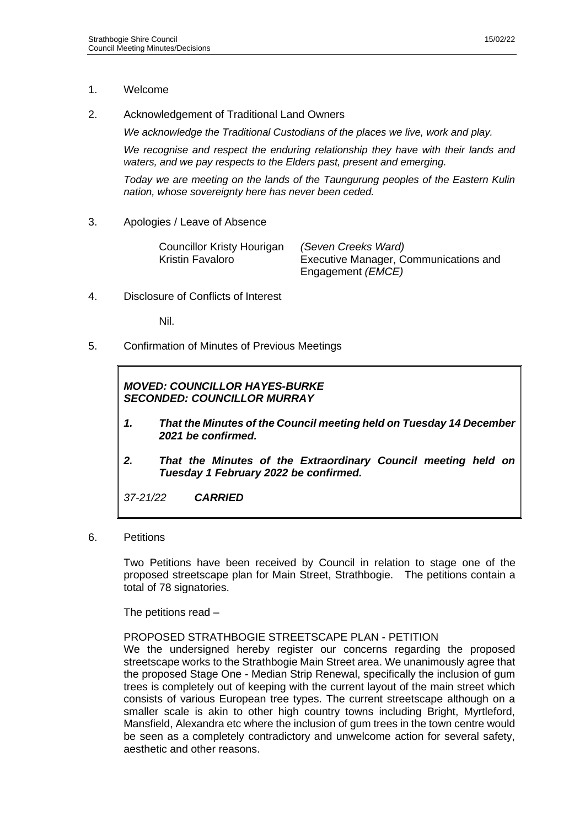### 1. Welcome

2. Acknowledgement of Traditional Land Owners

*We acknowledge the Traditional Custodians of the places we live, work and play.*

*We recognise and respect the enduring relationship they have with their lands and waters, and we pay respects to the Elders past, present and emerging.*

*Today we are meeting on the lands of the Taungurung peoples of the Eastern Kulin nation, whose sovereignty here has never been ceded.*

3. Apologies / Leave of Absence

| Councillor Kristy Hourigan | (Seven Creeks Ward)                   |
|----------------------------|---------------------------------------|
| Kristin Favaloro           | Executive Manager, Communications and |
|                            | Engagement ( <i>EMCE</i> )            |

4. Disclosure of Conflicts of Interest

Nil.

5. Confirmation of Minutes of Previous Meetings

# *MOVED: COUNCILLOR HAYES-BURKE SECONDED: COUNCILLOR MURRAY*

- *1. That the Minutes of the Council meeting held on Tuesday 14 December 2021 be confirmed.*
- *2. That the Minutes of the Extraordinary Council meeting held on Tuesday 1 February 2022 be confirmed.*

*37-21/22 CARRIED*

6. Petitions

Two Petitions have been received by Council in relation to stage one of the proposed streetscape plan for Main Street, Strathbogie. The petitions contain a total of 78 signatories.

The petitions read –

### PROPOSED STRATHBOGIE STREETSCAPE PLAN - PETITION

We the undersigned hereby register our concerns regarding the proposed streetscape works to the Strathbogie Main Street area. We unanimously agree that the proposed Stage One - Median Strip Renewal, specifically the inclusion of gum trees is completely out of keeping with the current layout of the main street which consists of various European tree types. The current streetscape although on a smaller scale is akin to other high country towns including Bright, Myrtleford, Mansfield, Alexandra etc where the inclusion of gum trees in the town centre would be seen as a completely contradictory and unwelcome action for several safety, aesthetic and other reasons.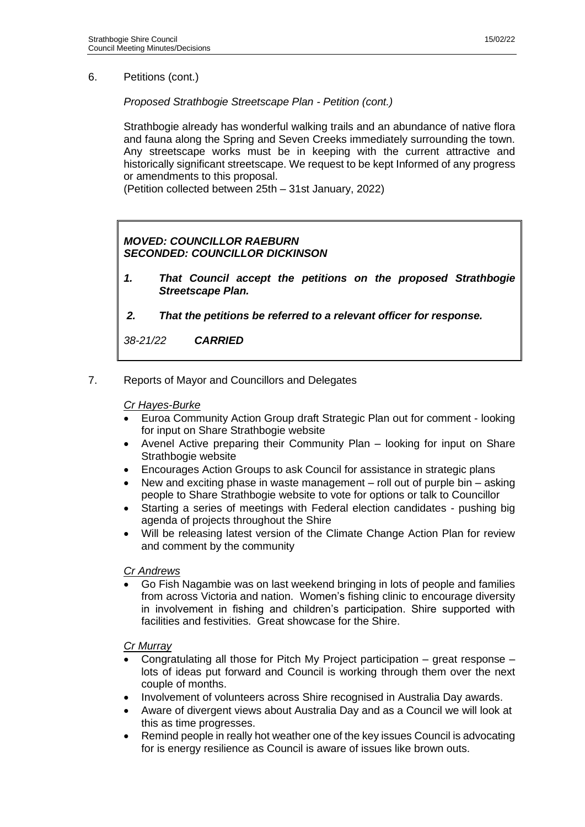6. Petitions (cont.)

*Proposed Strathbogie Streetscape Plan - Petition (cont.)*

Strathbogie already has wonderful walking trails and an abundance of native flora and fauna along the Spring and Seven Creeks immediately surrounding the town. Any streetscape works must be in keeping with the current attractive and historically significant streetscape. We request to be kept Informed of any progress or amendments to this proposal.

(Petition collected between 25th – 31st January, 2022)

# *MOVED: COUNCILLOR RAEBURN SECONDED: COUNCILLOR DICKINSON*

- *1. That Council accept the petitions on the proposed Strathbogie Streetscape Plan.*
- *2. That the petitions be referred to a relevant officer for response.*

*38-21/22 CARRIED*

7. Reports of Mayor and Councillors and Delegates

#### *Cr Hayes-Burke*

- Euroa Community Action Group draft Strategic Plan out for comment looking for input on Share Strathbogie website
- Avenel Active preparing their Community Plan looking for input on Share Strathbogie website
- Encourages Action Groups to ask Council for assistance in strategic plans
- New and exciting phase in waste management roll out of purple bin asking people to Share Strathbogie website to vote for options or talk to Councillor
- Starting a series of meetings with Federal election candidates pushing big agenda of projects throughout the Shire
- Will be releasing latest version of the Climate Change Action Plan for review and comment by the community

### *Cr Andrews*

• Go Fish Nagambie was on last weekend bringing in lots of people and families from across Victoria and nation. Women's fishing clinic to encourage diversity in involvement in fishing and children's participation. Shire supported with facilities and festivities. Great showcase for the Shire.

### *Cr Murray*

- Congratulating all those for Pitch My Project participation great response lots of ideas put forward and Council is working through them over the next couple of months.
- Involvement of volunteers across Shire recognised in Australia Day awards.
- Aware of divergent views about Australia Day and as a Council we will look at this as time progresses.
- Remind people in really hot weather one of the key issues Council is advocating for is energy resilience as Council is aware of issues like brown outs.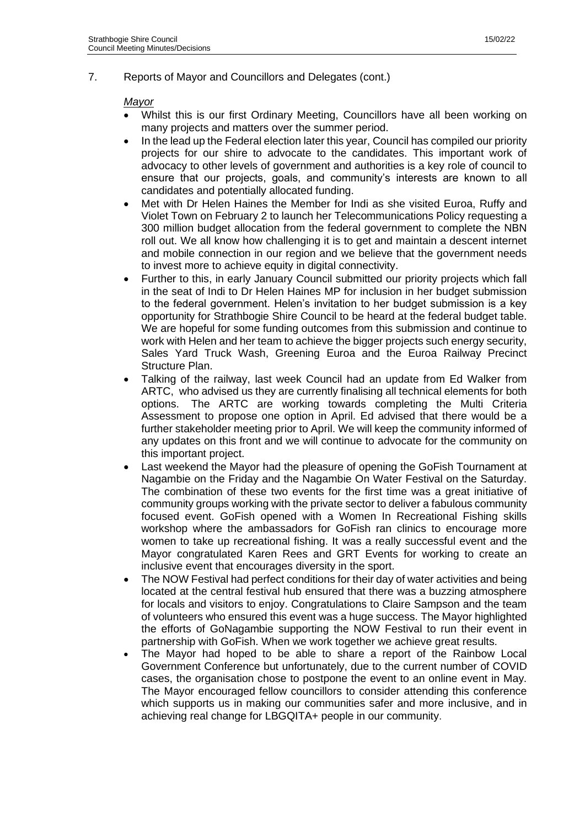7. Reports of Mayor and Councillors and Delegates (cont.)

#### *Mayor*

- Whilst this is our first Ordinary Meeting, Councillors have all been working on many projects and matters over the summer period.
- In the lead up the Federal election later this year, Council has compiled our priority projects for our shire to advocate to the candidates. This important work of advocacy to other levels of government and authorities is a key role of council to ensure that our projects, goals, and community's interests are known to all candidates and potentially allocated funding.
- Met with Dr Helen Haines the Member for Indi as she visited Euroa, Ruffy and Violet Town on February 2 to launch her Telecommunications Policy requesting a 300 million budget allocation from the federal government to complete the NBN roll out. We all know how challenging it is to get and maintain a descent internet and mobile connection in our region and we believe that the government needs to invest more to achieve equity in digital connectivity.
- Further to this, in early January Council submitted our priority projects which fall in the seat of Indi to Dr Helen Haines MP for inclusion in her budget submission to the federal government. Helen's invitation to her budget submission is a key opportunity for Strathbogie Shire Council to be heard at the federal budget table. We are hopeful for some funding outcomes from this submission and continue to work with Helen and her team to achieve the bigger projects such energy security, Sales Yard Truck Wash, Greening Euroa and the Euroa Railway Precinct Structure Plan.
- Talking of the railway, last week Council had an update from Ed Walker from ARTC, who advised us they are currently finalising all technical elements for both options. The ARTC are working towards completing the Multi Criteria Assessment to propose one option in April. Ed advised that there would be a further stakeholder meeting prior to April. We will keep the community informed of any updates on this front and we will continue to advocate for the community on this important project.
- Last weekend the Mayor had the pleasure of opening the GoFish Tournament at Nagambie on the Friday and the Nagambie On Water Festival on the Saturday. The combination of these two events for the first time was a great initiative of community groups working with the private sector to deliver a fabulous community focused event. GoFish opened with a Women In Recreational Fishing skills workshop where the ambassadors for GoFish ran clinics to encourage more women to take up recreational fishing. It was a really successful event and the Mayor congratulated Karen Rees and GRT Events for working to create an inclusive event that encourages diversity in the sport.
- The NOW Festival had perfect conditions for their day of water activities and being located at the central festival hub ensured that there was a buzzing atmosphere for locals and visitors to enjoy. Congratulations to Claire Sampson and the team of volunteers who ensured this event was a huge success. The Mayor highlighted the efforts of GoNagambie supporting the NOW Festival to run their event in partnership with GoFish. When we work together we achieve great results.
- The Mayor had hoped to be able to share a report of the Rainbow Local Government Conference but unfortunately, due to the current number of COVID cases, the organisation chose to postpone the event to an online event in May. The Mayor encouraged fellow councillors to consider attending this conference which supports us in making our communities safer and more inclusive, and in achieving real change for LBGQITA+ people in our community.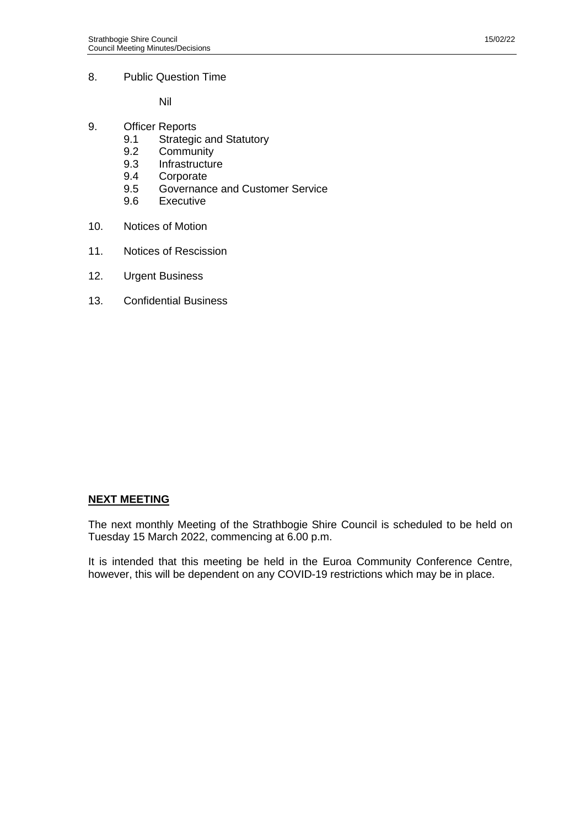8. Public Question Time

Nil

- 9. Officer Reports<br>9.1 Strategio
	- Strategic and Statutory
	- 9.2 Community
	- 9.3 Infrastructure
	- 9.4 Corporate
	- 9.5 Governance and Customer Service<br>9.6 Executive
	- **Executive**
- 10. Notices of Motion
- 11. Notices of Rescission
- 12. Urgent Business
- 13. Confidential Business

#### **NEXT MEETING**

The next monthly Meeting of the Strathbogie Shire Council is scheduled to be held on Tuesday 15 March 2022, commencing at 6.00 p.m.

It is intended that this meeting be held in the Euroa Community Conference Centre, however, this will be dependent on any COVID-19 restrictions which may be in place.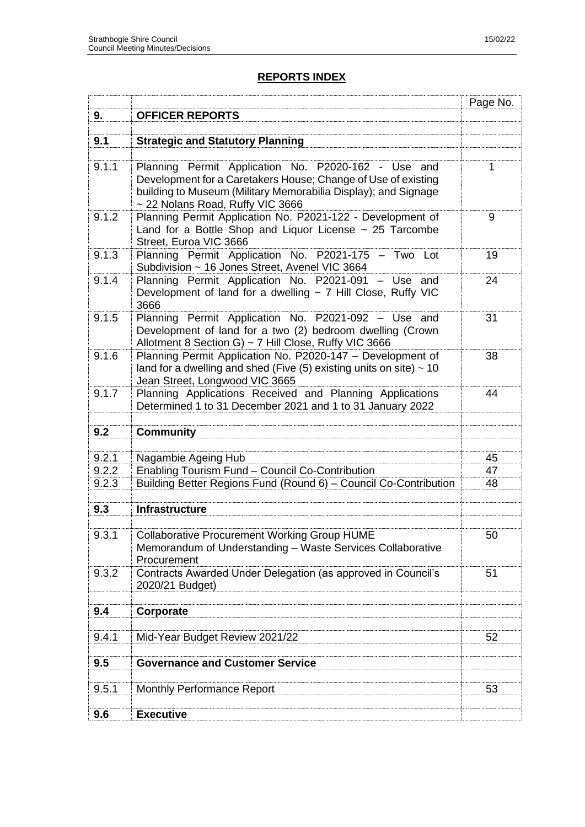# **REPORTS INDEX**

|       |                                                                                                                          | Page No. |
|-------|--------------------------------------------------------------------------------------------------------------------------|----------|
| 9.    | <b>OFFICER REPORTS</b>                                                                                                   |          |
|       |                                                                                                                          |          |
| 9.1   | <b>Strategic and Statutory Planning</b>                                                                                  |          |
|       |                                                                                                                          |          |
| 9.1.1 | Planning Permit Application No. P2020-162 - Use and<br>Development for a Caretakers House; Change of Use of existing     | 1        |
|       | building to Museum (Military Memorabilia Display); and Signage                                                           |          |
|       | ~ 22 Nolans Road, Ruffy VIC 3666                                                                                         |          |
| 9.1.2 | Planning Permit Application No. P2021-122 - Development of                                                               | 9        |
|       | Land for a Bottle Shop and Liquor License ~ 25 Tarcombe                                                                  |          |
|       | Street, Euroa VIC 3666                                                                                                   |          |
| 9.1.3 | Planning Permit Application No. P2021-175 - Two Lot                                                                      | 19       |
|       | Subdivision ~ 16 Jones Street, Avenel VIC 3664                                                                           |          |
| 9.1.4 | Planning Permit Application No. P2021-091 - Use and<br>Development of land for a dwelling $\sim$ 7 Hill Close, Ruffy VIC | 24       |
|       | 3666                                                                                                                     |          |
| 9.1.5 | Planning Permit Application No. P2021-092 - Use and                                                                      | 31       |
|       | Development of land for a two (2) bedroom dwelling (Crown                                                                |          |
|       | Allotment 8 Section G) ~ 7 Hill Close, Ruffy VIC 3666                                                                    |          |
| 9.1.6 | Planning Permit Application No. P2020-147 - Development of                                                               | 38       |
|       | land for a dwelling and shed (Five $(5)$ existing units on site) $\sim$ 10                                               |          |
|       | Jean Street, Longwood VIC 3665                                                                                           |          |
| 9.1.7 | Planning Applications Received and Planning Applications<br>Determined 1 to 31 December 2021 and 1 to 31 January 2022    | 44       |
|       |                                                                                                                          |          |
| 9.2   | <b>Community</b>                                                                                                         |          |
|       |                                                                                                                          |          |
| 9.2.1 | Nagambie Ageing Hub                                                                                                      | 45       |
| 9.2.2 | Enabling Tourism Fund - Council Co-Contribution                                                                          | 47       |
| 9.2.3 | Building Better Regions Fund (Round 6) - Council Co-Contribution                                                         | 48       |
|       |                                                                                                                          |          |
| 9.3   | <b>Infrastructure</b>                                                                                                    |          |
| 9.3.1 | <b>Collaborative Procurement Working Group HUME</b>                                                                      | 50       |
|       | Memorandum of Understanding - Waste Services Collaborative                                                               |          |
|       | Procurement                                                                                                              |          |
| 9.3.2 | Contracts Awarded Under Delegation (as approved in Council's                                                             | 51       |
|       | 2020/21 Budget)                                                                                                          |          |
|       |                                                                                                                          |          |
| 9.4   | Corporate                                                                                                                |          |
|       |                                                                                                                          |          |
| 9.4.1 | Mid-Year Budget Review 2021/22                                                                                           | 52       |
| 9.5   | <b>Governance and Customer Service</b>                                                                                   |          |
|       |                                                                                                                          |          |
| 9.5.1 | <b>Monthly Performance Report</b>                                                                                        | 53       |
|       |                                                                                                                          |          |
| 9.6   | <b>Executive</b>                                                                                                         |          |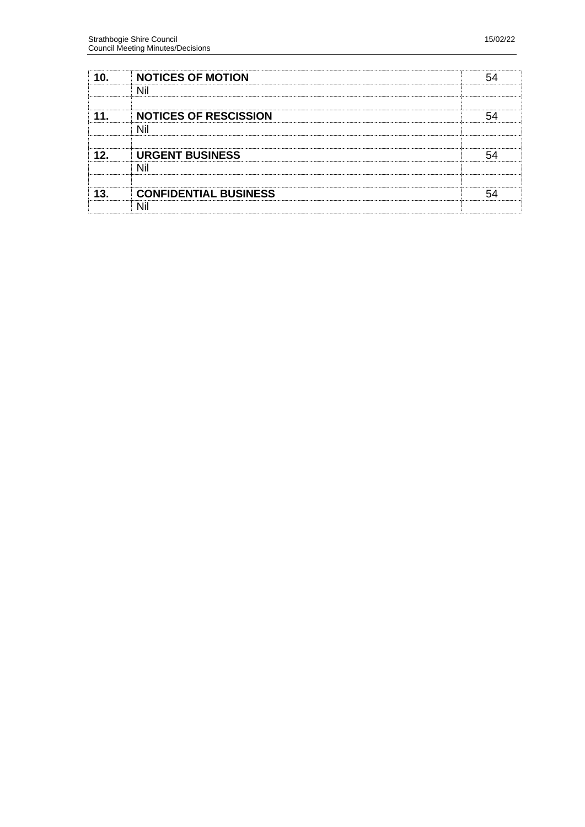| 1∩  | <b>NOTICES OF MOTION</b>     |  |
|-----|------------------------------|--|
|     | Nil                          |  |
|     | <b>NOTICES OF RESCISSION</b> |  |
|     | Nil                          |  |
|     |                              |  |
| 12. | <b>URGENT BUSINESS</b>       |  |
|     | Nil                          |  |
|     |                              |  |
|     | <b>CONFIDENTIAL BUSINESS</b> |  |
|     |                              |  |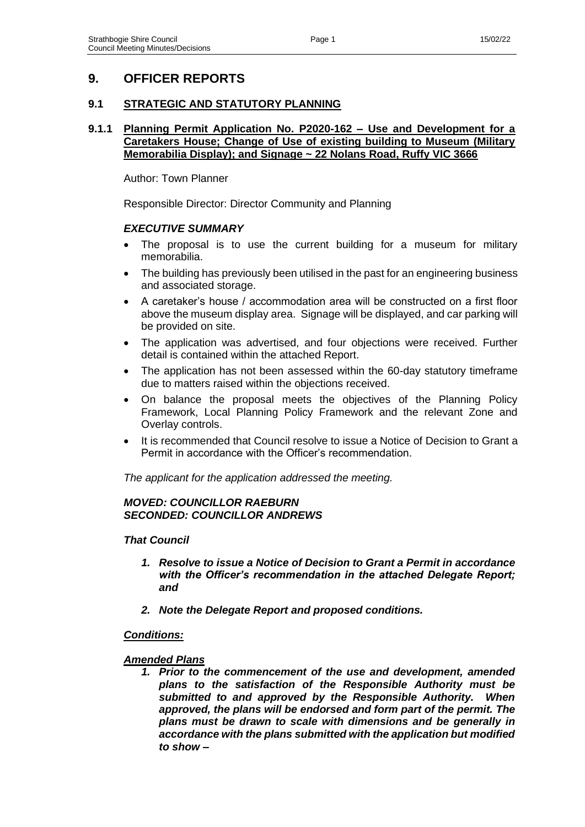# **9. OFFICER REPORTS**

### **9.1 STRATEGIC AND STATUTORY PLANNING**

### **9.1.1 Planning Permit Application No. P2020-162 – Use and Development for a Caretakers House; Change of Use of existing building to Museum (Military Memorabilia Display); and Signage ~ 22 Nolans Road, Ruffy VIC 3666**

Author: Town Planner

Responsible Director: Director Community and Planning

### *EXECUTIVE SUMMARY*

- The proposal is to use the current building for a museum for military memorabilia.
- The building has previously been utilised in the past for an engineering business and associated storage.
- A caretaker's house / accommodation area will be constructed on a first floor above the museum display area. Signage will be displayed, and car parking will be provided on site.
- The application was advertised, and four objections were received. Further detail is contained within the attached Report.
- The application has not been assessed within the 60-day statutory timeframe due to matters raised within the objections received.
- On balance the proposal meets the objectives of the Planning Policy Framework, Local Planning Policy Framework and the relevant Zone and Overlay controls.
- It is recommended that Council resolve to issue a Notice of Decision to Grant a Permit in accordance with the Officer's recommendation.

*The applicant for the application addressed the meeting.*

### *MOVED: COUNCILLOR RAEBURN SECONDED: COUNCILLOR ANDREWS*

### *That Council*

- *1. Resolve to issue a Notice of Decision to Grant a Permit in accordance with the Officer's recommendation in the attached Delegate Report; and*
- *2. Note the Delegate Report and proposed conditions.*

### *Conditions:*

### *Amended Plans*

*1. Prior to the commencement of the use and development, amended plans to the satisfaction of the Responsible Authority must be submitted to and approved by the Responsible Authority. When approved, the plans will be endorsed and form part of the permit. The plans must be drawn to scale with dimensions and be generally in accordance with the plans submitted with the application but modified to show –*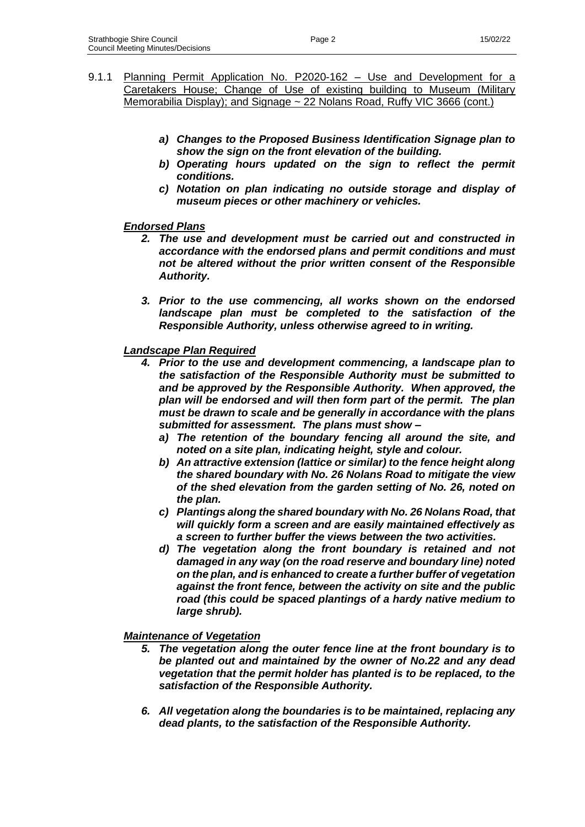- 9.1.1 Planning Permit Application No. P2020-162 Use and Development for a Caretakers House; Change of Use of existing building to Museum (Military Memorabilia Display); and Signage ~ 22 Nolans Road, Ruffy VIC 3666 (cont.)
	- *a) Changes to the Proposed Business Identification Signage plan to show the sign on the front elevation of the building.*
	- *b) Operating hours updated on the sign to reflect the permit conditions.*
	- *c) Notation on plan indicating no outside storage and display of museum pieces or other machinery or vehicles.*

#### *Endorsed Plans*

- *2. The use and development must be carried out and constructed in accordance with the endorsed plans and permit conditions and must not be altered without the prior written consent of the Responsible Authority.*
- *3. Prior to the use commencing, all works shown on the endorsed landscape plan must be completed to the satisfaction of the Responsible Authority, unless otherwise agreed to in writing.*

### *Landscape Plan Required*

- *4. Prior to the use and development commencing, a landscape plan to the satisfaction of the Responsible Authority must be submitted to and be approved by the Responsible Authority. When approved, the plan will be endorsed and will then form part of the permit. The plan must be drawn to scale and be generally in accordance with the plans submitted for assessment. The plans must show –*
	- *a) The retention of the boundary fencing all around the site, and noted on a site plan, indicating height, style and colour.*
	- *b) An attractive extension (lattice or similar) to the fence height along the shared boundary with No. 26 Nolans Road to mitigate the view of the shed elevation from the garden setting of No. 26, noted on the plan.*
	- *c) Plantings along the shared boundary with No. 26 Nolans Road, that will quickly form a screen and are easily maintained effectively as a screen to further buffer the views between the two activities.*
	- *d) The vegetation along the front boundary is retained and not damaged in any way (on the road reserve and boundary line) noted on the plan, and is enhanced to create a further buffer of vegetation against the front fence, between the activity on site and the public road (this could be spaced plantings of a hardy native medium to large shrub).*

#### *Maintenance of Vegetation*

- *5. The vegetation along the outer fence line at the front boundary is to be planted out and maintained by the owner of No.22 and any dead vegetation that the permit holder has planted is to be replaced, to the satisfaction of the Responsible Authority.*
- *6. All vegetation along the boundaries is to be maintained, replacing any dead plants, to the satisfaction of the Responsible Authority.*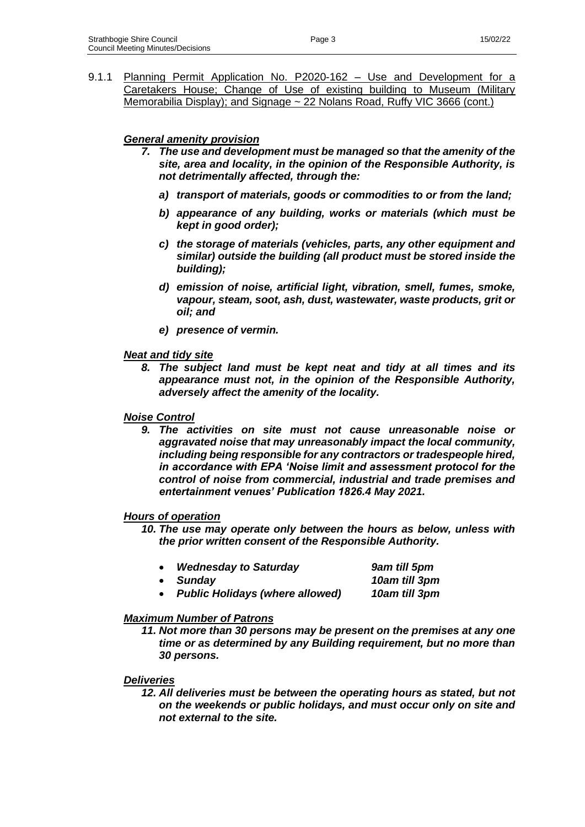9.1.1 Planning Permit Application No. P2020-162 - Use and Development for a Caretakers House; Change of Use of existing building to Museum (Military Memorabilia Display); and Signage ~ 22 Nolans Road, Ruffy VIC 3666 (cont.)

# *General amenity provision*

- *7. The use and development must be managed so that the amenity of the site, area and locality, in the opinion of the Responsible Authority, is not detrimentally affected, through the:*
	- *a) transport of materials, goods or commodities to or from the land;*
	- *b) appearance of any building, works or materials (which must be kept in good order);*
	- *c) the storage of materials (vehicles, parts, any other equipment and similar) outside the building (all product must be stored inside the building);*
	- *d) emission of noise, artificial light, vibration, smell, fumes, smoke, vapour, steam, soot, ash, dust, wastewater, waste products, grit or oil; and*
	- *e) presence of vermin.*

#### *Neat and tidy site*

*8. The subject land must be kept neat and tidy at all times and its appearance must not, in the opinion of the Responsible Authority, adversely affect the amenity of the locality.*

#### *Noise Control*

*9. The activities on site must not cause unreasonable noise or aggravated noise that may unreasonably impact the local community, including being responsible for any contractors or tradespeople hired, in accordance with EPA 'Noise limit and assessment protocol for the control of noise from commercial, industrial and trade premises and entertainment venues' Publication 1826.4 May 2021.*

#### *Hours of operation*

*10. The use may operate only between the hours as below, unless with the prior written consent of the Responsible Authority.*

| <b>Wednesday to Saturday</b>           | 9am till 5pm  |
|----------------------------------------|---------------|
| • Sundav                               | 10am till 3pm |
| <b>Public Holidays (where allowed)</b> | 10am till 3pm |

# *Maximum Number of Patrons*

*11. Not more than 30 persons may be present on the premises at any one time or as determined by any Building requirement, but no more than 30 persons.*

### *Deliveries*

*12. All deliveries must be between the operating hours as stated, but not on the weekends or public holidays, and must occur only on site and not external to the site.*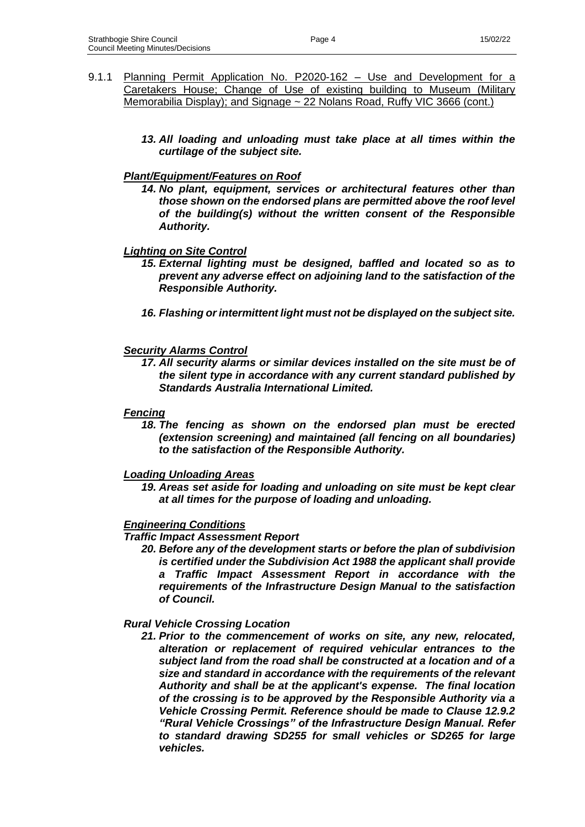- 9.1.1 Planning Permit Application No. P2020-162 Use and Development for a Caretakers House; Change of Use of existing building to Museum (Military Memorabilia Display); and Signage ~ 22 Nolans Road, Ruffy VIC 3666 (cont.)
	- *13. All loading and unloading must take place at all times within the curtilage of the subject site.*

### *Plant/Equipment/Features on Roof*

*14. No plant, equipment, services or architectural features other than those shown on the endorsed plans are permitted above the roof level of the building(s) without the written consent of the Responsible Authority.*

#### *Lighting on Site Control*

- *15. External lighting must be designed, baffled and located so as to prevent any adverse effect on adjoining land to the satisfaction of the Responsible Authority.*
- *16. Flashing or intermittent light must not be displayed on the subject site.*

#### *Security Alarms Control*

*17. All security alarms or similar devices installed on the site must be of the silent type in accordance with any current standard published by Standards Australia International Limited.*

#### *Fencing*

*18. The fencing as shown on the endorsed plan must be erected (extension screening) and maintained (all fencing on all boundaries) to the satisfaction of the Responsible Authority.*

#### *Loading Unloading Areas*

*19. Areas set aside for loading and unloading on site must be kept clear at all times for the purpose of loading and unloading.*

#### *Engineering Conditions*

#### *Traffic Impact Assessment Report*

*20. Before any of the development starts or before the plan of subdivision is certified under the Subdivision Act 1988 the applicant shall provide a Traffic Impact Assessment Report in accordance with the requirements of the Infrastructure Design Manual to the satisfaction of Council.*

#### *Rural Vehicle Crossing Location*

*21. Prior to the commencement of works on site, any new, relocated, alteration or replacement of required vehicular entrances to the subject land from the road shall be constructed at a location and of a size and standard in accordance with the requirements of the relevant Authority and shall be at the applicant's expense. The final location of the crossing is to be approved by the Responsible Authority via a Vehicle Crossing Permit. Reference should be made to Clause 12.9.2 "Rural Vehicle Crossings" of the Infrastructure Design Manual. Refer to standard drawing SD255 for small vehicles or SD265 for large vehicles.*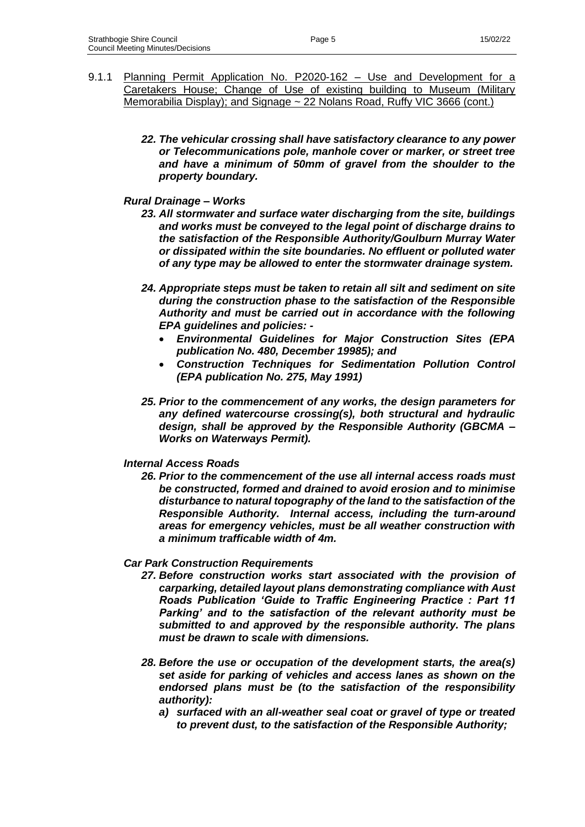- 9.1.1 Planning Permit Application No. P2020-162 Use and Development for a Caretakers House; Change of Use of existing building to Museum (Military Memorabilia Display); and Signage ~ 22 Nolans Road, Ruffy VIC 3666 (cont.)
	- *22. The vehicular crossing shall have satisfactory clearance to any power or Telecommunications pole, manhole cover or marker, or street tree and have a minimum of 50mm of gravel from the shoulder to the property boundary.*

#### *Rural Drainage – Works*

- *23. All stormwater and surface water discharging from the site, buildings and works must be conveyed to the legal point of discharge drains to the satisfaction of the Responsible Authority/Goulburn Murray Water or dissipated within the site boundaries. No effluent or polluted water of any type may be allowed to enter the stormwater drainage system.*
- *24. Appropriate steps must be taken to retain all silt and sediment on site during the construction phase to the satisfaction of the Responsible Authority and must be carried out in accordance with the following EPA guidelines and policies: -*
	- *Environmental Guidelines for Major Construction Sites (EPA publication No. 480, December 19985); and*
	- *Construction Techniques for Sedimentation Pollution Control (EPA publication No. 275, May 1991)*
- *25. Prior to the commencement of any works, the design parameters for any defined watercourse crossing(s), both structural and hydraulic design, shall be approved by the Responsible Authority (GBCMA – Works on Waterways Permit).*

#### *Internal Access Roads*

*26. Prior to the commencement of the use all internal access roads must be constructed, formed and drained to avoid erosion and to minimise disturbance to natural topography of the land to the satisfaction of the Responsible Authority. Internal access, including the turn-around areas for emergency vehicles, must be all weather construction with a minimum trafficable width of 4m.*

#### *Car Park Construction Requirements*

- *27. Before construction works start associated with the provision of carparking, detailed layout plans demonstrating compliance with Aust Roads Publication 'Guide to Traffic Engineering Practice : Part 11 Parking' and to the satisfaction of the relevant authority must be submitted to and approved by the responsible authority. The plans must be drawn to scale with dimensions.*
- *28. Before the use or occupation of the development starts, the area(s) set aside for parking of vehicles and access lanes as shown on the endorsed plans must be (to the satisfaction of the responsibility authority):*
	- *a) surfaced with an all-weather seal coat or gravel of type or treated to prevent dust, to the satisfaction of the Responsible Authority;*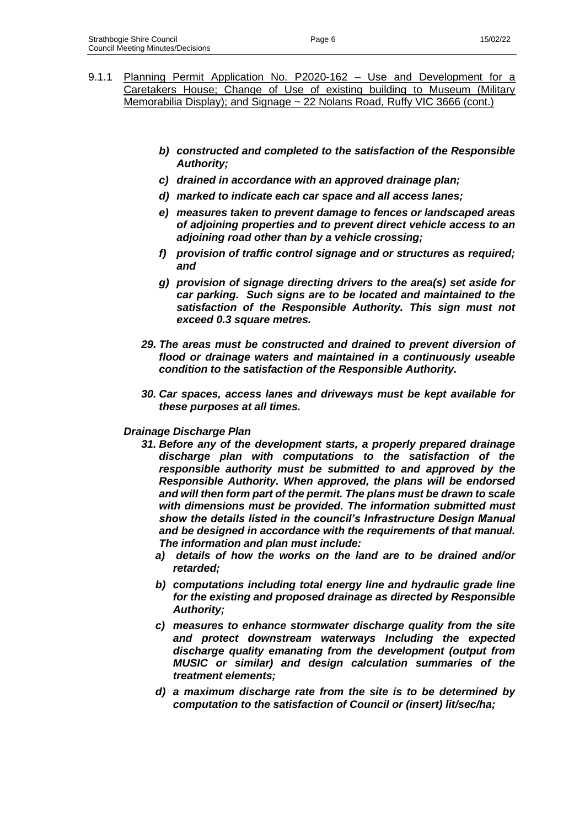- 9.1.1 Planning Permit Application No. P2020-162 Use and Development for a Caretakers House; Change of Use of existing building to Museum (Military Memorabilia Display); and Signage ~ 22 Nolans Road, Ruffy VIC 3666 (cont.)
	- *b) constructed and completed to the satisfaction of the Responsible Authority;*
	- *c) drained in accordance with an approved drainage plan;*
	- *d) marked to indicate each car space and all access lanes;*
	- *e) measures taken to prevent damage to fences or landscaped areas of adjoining properties and to prevent direct vehicle access to an adjoining road other than by a vehicle crossing;*
	- *f) provision of traffic control signage and or structures as required; and*
	- *g) provision of signage directing drivers to the area(s) set aside for car parking. Such signs are to be located and maintained to the satisfaction of the Responsible Authority. This sign must not exceed 0.3 square metres.*
	- *29. The areas must be constructed and drained to prevent diversion of flood or drainage waters and maintained in a continuously useable condition to the satisfaction of the Responsible Authority.*
	- *30. Car spaces, access lanes and driveways must be kept available for these purposes at all times.*

#### *Drainage Discharge Plan*

- *31. Before any of the development starts, a properly prepared drainage discharge plan with computations to the satisfaction of the responsible authority must be submitted to and approved by the Responsible Authority. When approved, the plans will be endorsed and will then form part of the permit. The plans must be drawn to scale with dimensions must be provided. The information submitted must show the details listed in the council's Infrastructure Design Manual and be designed in accordance with the requirements of that manual. The information and plan must include:* 
	- *a) details of how the works on the land are to be drained and/or retarded;*
	- *b) computations including total energy line and hydraulic grade line for the existing and proposed drainage as directed by Responsible Authority;*
	- *c) measures to enhance stormwater discharge quality from the site and protect downstream waterways Including the expected discharge quality emanating from the development (output from MUSIC or similar) and design calculation summaries of the treatment elements;*
	- *d) a maximum discharge rate from the site is to be determined by computation to the satisfaction of Council or (insert) lit/sec/ha;*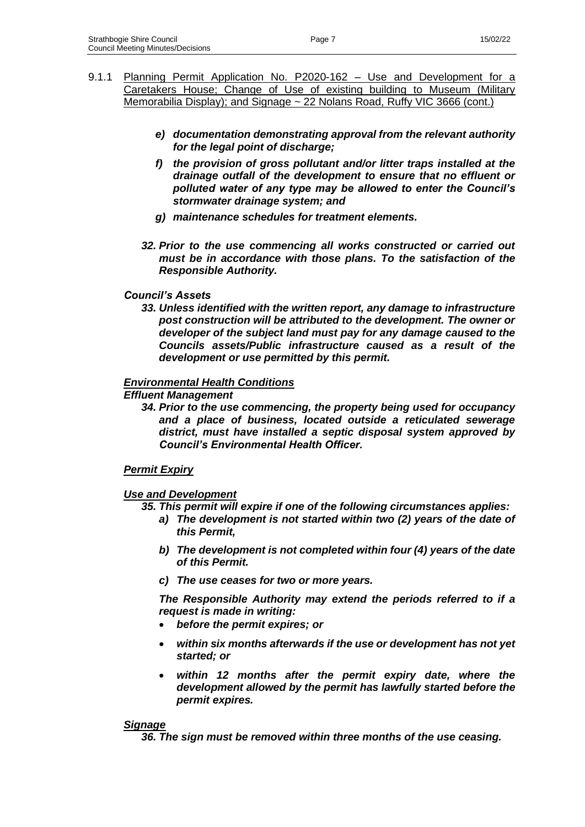- 9.1.1 Planning Permit Application No. P2020-162 Use and Development for a Caretakers House; Change of Use of existing building to Museum (Military Memorabilia Display); and Signage ~ 22 Nolans Road, Ruffy VIC 3666 (cont.)
	- *e) documentation demonstrating approval from the relevant authority for the legal point of discharge;*
	- *f) the provision of gross pollutant and/or litter traps installed at the drainage outfall of the development to ensure that no effluent or polluted water of any type may be allowed to enter the Council's stormwater drainage system; and*
	- *g) maintenance schedules for treatment elements.*
	- *32. Prior to the use commencing all works constructed or carried out must be in accordance with those plans. To the satisfaction of the Responsible Authority.*

#### *Council's Assets*

*33. Unless identified with the written report, any damage to infrastructure post construction will be attributed to the development. The owner or developer of the subject land must pay for any damage caused to the Councils assets/Public infrastructure caused as a result of the development or use permitted by this permit.*

#### *Environmental Health Conditions*

#### *Effluent Management*

*34. Prior to the use commencing, the property being used for occupancy and a place of business, located outside a reticulated sewerage district, must have installed a septic disposal system approved by Council's Environmental Health Officer.*

### *Permit Expiry*

#### *Use and Development*

- *35. This permit will expire if one of the following circumstances applies:*
	- *a) The development is not started within two (2) years of the date of this Permit,*
	- *b) The development is not completed within four (4) years of the date of this Permit.*
	- *c) The use ceases for two or more years.*

*The Responsible Authority may extend the periods referred to if a request is made in writing:*

- *before the permit expires; or*
- *within six months afterwards if the use or development has not yet started; or*
- within 12 months after the permit expiry date, where the *development allowed by the permit has lawfully started before the permit expires.*

### *Signage*

*36. The sign must be removed within three months of the use ceasing.*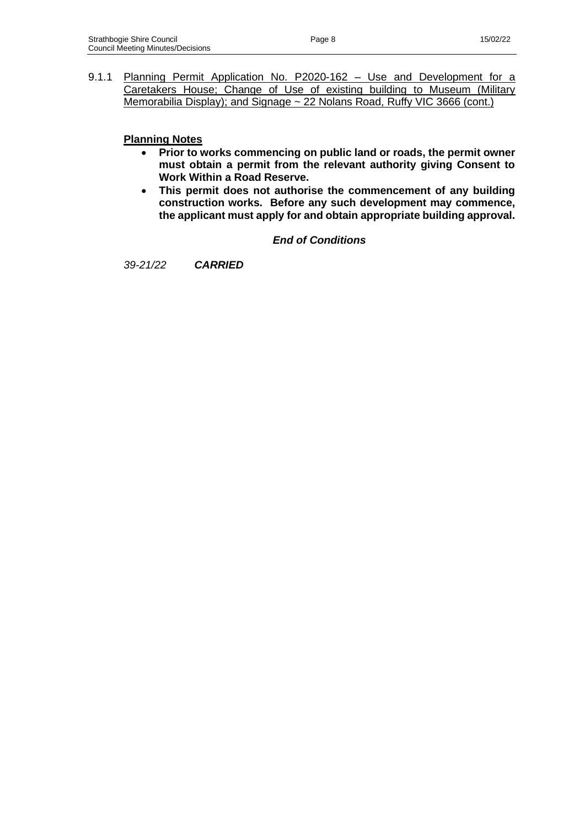9.1.1 Planning Permit Application No. P2020-162 - Use and Development for a Caretakers House; Change of Use of existing building to Museum (Military Memorabilia Display); and Signage ~ 22 Nolans Road, Ruffy VIC 3666 (cont.)

### **Planning Notes**

- **Prior to works commencing on public land or roads, the permit owner must obtain a permit from the relevant authority giving Consent to Work Within a Road Reserve.**
- **This permit does not authorise the commencement of any building construction works. Before any such development may commence, the applicant must apply for and obtain appropriate building approval.**

### *End of Conditions*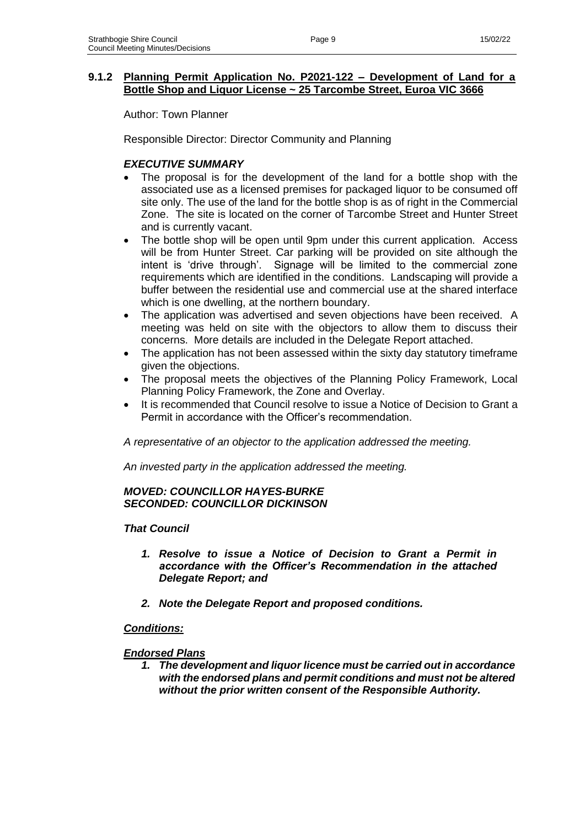Author: Town Planner

Responsible Director: Director Community and Planning

### *EXECUTIVE SUMMARY*

- The proposal is for the development of the land for a bottle shop with the associated use as a licensed premises for packaged liquor to be consumed off site only. The use of the land for the bottle shop is as of right in the Commercial Zone. The site is located on the corner of Tarcombe Street and Hunter Street and is currently vacant.
- The bottle shop will be open until 9pm under this current application. Access will be from Hunter Street. Car parking will be provided on site although the intent is 'drive through'. Signage will be limited to the commercial zone requirements which are identified in the conditions. Landscaping will provide a buffer between the residential use and commercial use at the shared interface which is one dwelling, at the northern boundary.
- The application was advertised and seven objections have been received. A meeting was held on site with the objectors to allow them to discuss their concerns. More details are included in the Delegate Report attached.
- The application has not been assessed within the sixty day statutory timeframe given the objections.
- The proposal meets the objectives of the Planning Policy Framework, Local Planning Policy Framework, the Zone and Overlay.
- It is recommended that Council resolve to issue a Notice of Decision to Grant a Permit in accordance with the Officer's recommendation.

*A representative of an objector to the application addressed the meeting.*

*An invested party in the application addressed the meeting.*

#### *MOVED: COUNCILLOR HAYES-BURKE SECONDED: COUNCILLOR DICKINSON*

### *That Council*

- *1. Resolve to issue a Notice of Decision to Grant a Permit in accordance with the Officer's Recommendation in the attached Delegate Report; and*
- *2. Note the Delegate Report and proposed conditions.*

### *Conditions:*

### *Endorsed Plans*

*1. The development and liquor licence must be carried out in accordance with the endorsed plans and permit conditions and must not be altered without the prior written consent of the Responsible Authority.*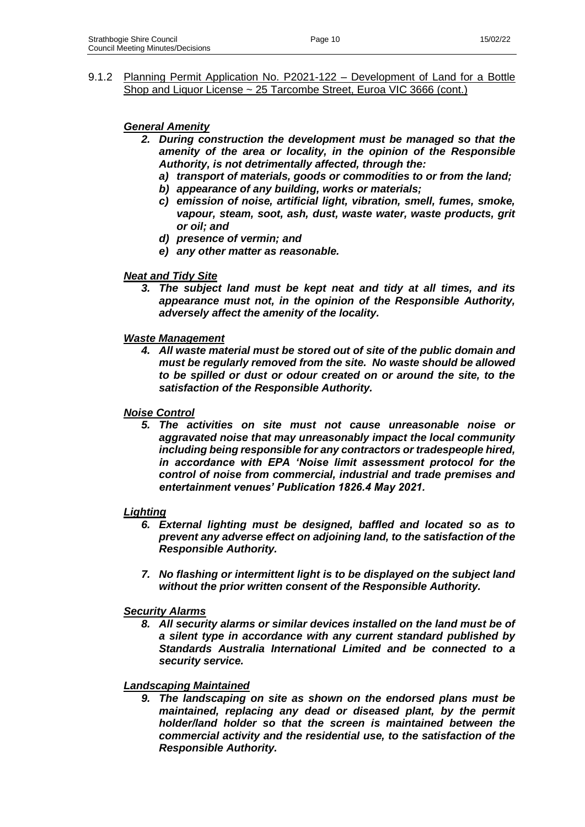### *General Amenity*

- *2. During construction the development must be managed so that the amenity of the area or locality, in the opinion of the Responsible Authority, is not detrimentally affected, through the:*
	- *a) transport of materials, goods or commodities to or from the land;*
	- *b) appearance of any building, works or materials;*
	- *c) emission of noise, artificial light, vibration, smell, fumes, smoke, vapour, steam, soot, ash, dust, waste water, waste products, grit or oil; and*
	- *d) presence of vermin; and*
	- *e) any other matter as reasonable.*

#### *Neat and Tidy Site*

*3. The subject land must be kept neat and tidy at all times, and its appearance must not, in the opinion of the Responsible Authority, adversely affect the amenity of the locality.*

#### *Waste Management*

*4. All waste material must be stored out of site of the public domain and must be regularly removed from the site. No waste should be allowed to be spilled or dust or odour created on or around the site, to the satisfaction of the Responsible Authority.*

#### *Noise Control*

*5. The activities on site must not cause unreasonable noise or aggravated noise that may unreasonably impact the local community including being responsible for any contractors or tradespeople hired, in accordance with EPA 'Noise limit assessment protocol for the control of noise from commercial, industrial and trade premises and entertainment venues' Publication 1826.4 May 2021.*

#### *Lighting*

- *6. External lighting must be designed, baffled and located so as to prevent any adverse effect on adjoining land, to the satisfaction of the Responsible Authority.*
- *7. No flashing or intermittent light is to be displayed on the subject land without the prior written consent of the Responsible Authority.*

#### *Security Alarms*

*8. All security alarms or similar devices installed on the land must be of a silent type in accordance with any current standard published by Standards Australia International Limited and be connected to a security service.*

#### *Landscaping Maintained*

*9. The landscaping on site as shown on the endorsed plans must be maintained, replacing any dead or diseased plant, by the permit holder/land holder so that the screen is maintained between the commercial activity and the residential use, to the satisfaction of the Responsible Authority.*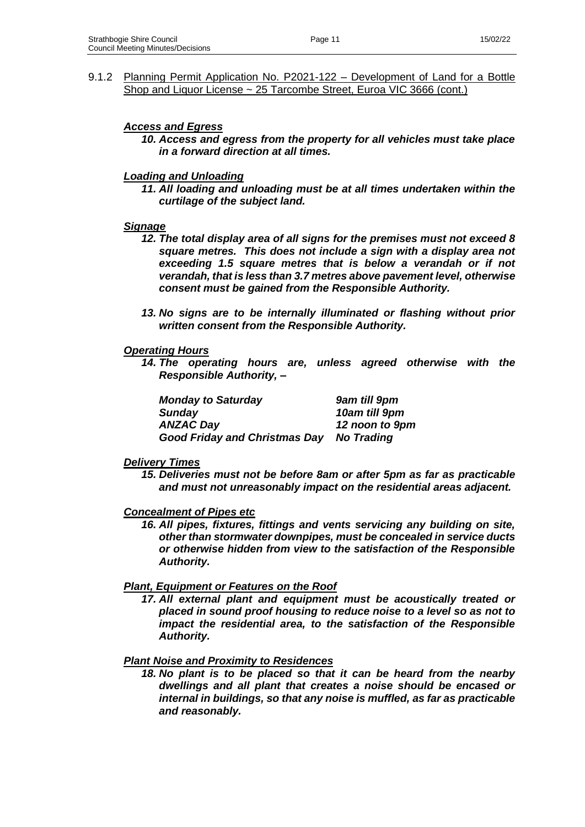#### *Access and Egress*

*10. Access and egress from the property for all vehicles must take place in a forward direction at all times.*

#### *Loading and Unloading*

*11. All loading and unloading must be at all times undertaken within the curtilage of the subject land.*

#### *Signage*

- *12. The total display area of all signs for the premises must not exceed 8 square metres. This does not include a sign with a display area not exceeding 1.5 square metres that is below a verandah or if not verandah, that is less than 3.7 metres above pavement level, otherwise consent must be gained from the Responsible Authority.*
- *13. No signs are to be internally illuminated or flashing without prior written consent from the Responsible Authority.*

#### *Operating Hours*

*14. The operating hours are, unless agreed otherwise with the Responsible Authority, –*

| <b>Monday to Saturday</b>            | 9am till 9pm      |
|--------------------------------------|-------------------|
| <b>Sunday</b>                        | 10am till 9pm     |
| <b>ANZAC Day</b>                     | 12 noon to 9pm    |
| <b>Good Friday and Christmas Day</b> | <b>No Trading</b> |

#### *Delivery Times*

*15. Deliveries must not be before 8am or after 5pm as far as practicable and must not unreasonably impact on the residential areas adjacent.*

#### *Concealment of Pipes etc*

*16. All pipes, fixtures, fittings and vents servicing any building on site, other than stormwater downpipes, must be concealed in service ducts or otherwise hidden from view to the satisfaction of the Responsible Authority.*

### *Plant, Equipment or Features on the Roof*

*17. All external plant and equipment must be acoustically treated or placed in sound proof housing to reduce noise to a level so as not to impact the residential area, to the satisfaction of the Responsible Authority.*

#### *Plant Noise and Proximity to Residences*

*18. No plant is to be placed so that it can be heard from the nearby dwellings and all plant that creates a noise should be encased or internal in buildings, so that any noise is muffled, as far as practicable and reasonably.*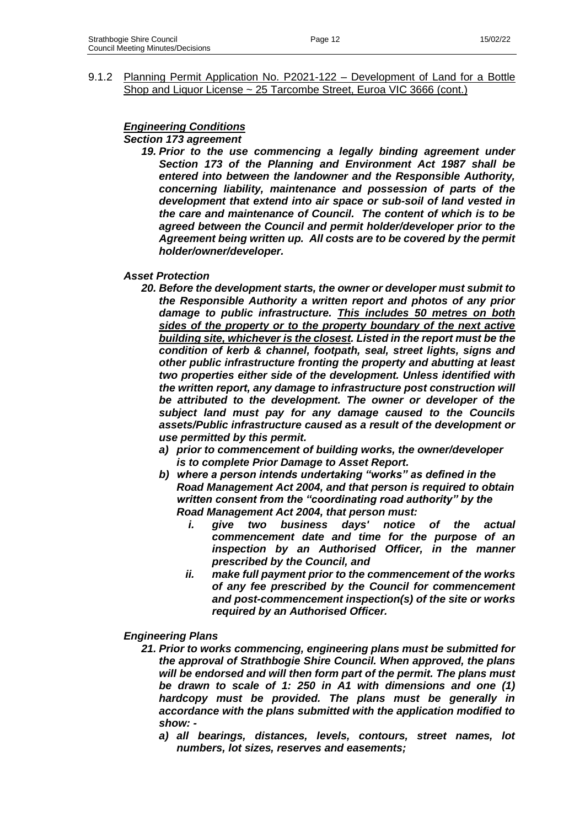# *Engineering Conditions*

#### *Section 173 agreement*

*19. Prior to the use commencing a legally binding agreement under Section 173 of the Planning and Environment Act 1987 shall be entered into between the landowner and the Responsible Authority, concerning liability, maintenance and possession of parts of the development that extend into air space or sub-soil of land vested in the care and maintenance of Council. The content of which is to be agreed between the Council and permit holder/developer prior to the Agreement being written up. All costs are to be covered by the permit holder/owner/developer.*

#### *Asset Protection*

- *20. Before the development starts, the owner or developer must submit to the Responsible Authority a written report and photos of any prior damage to public infrastructure. This includes 50 metres on both sides of the property or to the property boundary of the next active building site, whichever is the closest. Listed in the report must be the condition of kerb & channel, footpath, seal, street lights, signs and other public infrastructure fronting the property and abutting at least two properties either side of the development. Unless identified with the written report, any damage to infrastructure post construction will be attributed to the development. The owner or developer of the subject land must pay for any damage caused to the Councils assets/Public infrastructure caused as a result of the development or use permitted by this permit.*
	- *a) prior to commencement of building works, the owner/developer is to complete Prior Damage to Asset Report.*
	- *b) where a person intends undertaking "works" as defined in the Road Management Act 2004, and that person is required to obtain written consent from the "coordinating road authority" by the Road Management Act 2004, that person must:* 
		- *i. give two business days' notice of the actual commencement date and time for the purpose of an inspection by an Authorised Officer, in the manner prescribed by the Council, and*
		- *ii. make full payment prior to the commencement of the works of any fee prescribed by the Council for commencement and post-commencement inspection(s) of the site or works required by an Authorised Officer.*
- *Engineering Plans*
	- *21. Prior to works commencing, engineering plans must be submitted for the approval of Strathbogie Shire Council. When approved, the plans will be endorsed and will then form part of the permit. The plans must be drawn to scale of 1: 250 in A1 with dimensions and one (1) hardcopy must be provided. The plans must be generally in accordance with the plans submitted with the application modified to show:* 
		- *a) all bearings, distances, levels, contours, street names, lot numbers, lot sizes, reserves and easements;*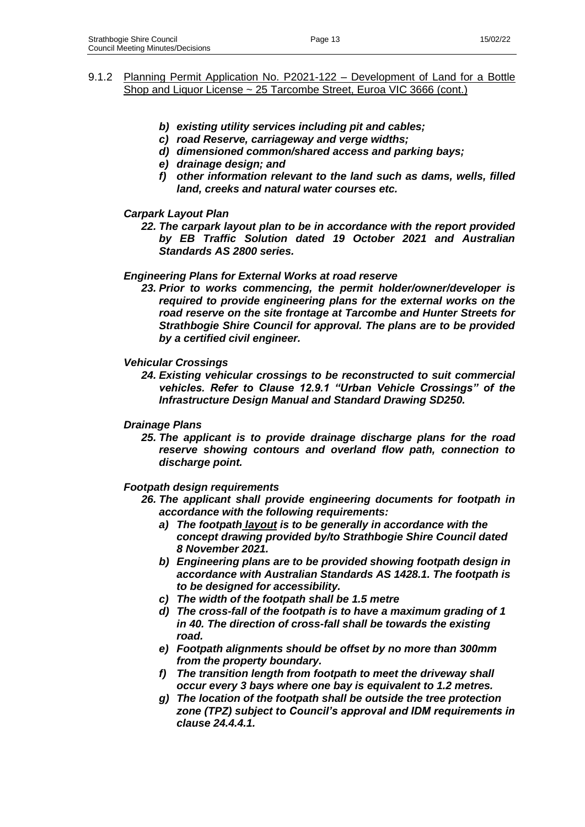- *b) existing utility services including pit and cables;*
- *c) road Reserve, carriageway and verge widths;*
- *d) dimensioned common/shared access and parking bays;*
- *e) drainage design; and*
- *f) other information relevant to the land such as dams, wells, filled land, creeks and natural water courses etc.*

### *Carpark Layout Plan*

*22. The carpark layout plan to be in accordance with the report provided by EB Traffic Solution dated 19 October 2021 and Australian Standards AS 2800 series.* 

#### *Engineering Plans for External Works at road reserve*

*23. Prior to works commencing, the permit holder/owner/developer is required to provide engineering plans for the external works on the road reserve on the site frontage at Tarcombe and Hunter Streets for Strathbogie Shire Council for approval. The plans are to be provided by a certified civil engineer.* 

#### *Vehicular Crossings*

*24. Existing vehicular crossings to be reconstructed to suit commercial vehicles. Refer to Clause 12.9.1 "Urban Vehicle Crossings" of the Infrastructure Design Manual and Standard Drawing SD250.*

#### *Drainage Plans*

*25. The applicant is to provide drainage discharge plans for the road reserve showing contours and overland flow path, connection to discharge point.*

#### *Footpath design requirements*

- *26. The applicant shall provide engineering documents for footpath in accordance with the following requirements:*
	- *a) The footpath layout is to be generally in accordance with the concept drawing provided by/to Strathbogie Shire Council dated 8 November 2021.*
	- *b) Engineering plans are to be provided showing footpath design in accordance with Australian Standards AS 1428.1. The footpath is to be designed for accessibility.*
	- *c) The width of the footpath shall be 1.5 metre*
	- *d) The cross-fall of the footpath is to have a maximum grading of 1 in 40. The direction of cross-fall shall be towards the existing road.*
	- *e) Footpath alignments should be offset by no more than 300mm from the property boundary.*
	- *f) The transition length from footpath to meet the driveway shall occur every 3 bays where one bay is equivalent to 1.2 metres.*
	- *g) The location of the footpath shall be outside the tree protection zone (TPZ) subject to Council's approval and IDM requirements in clause 24.4.4.1.*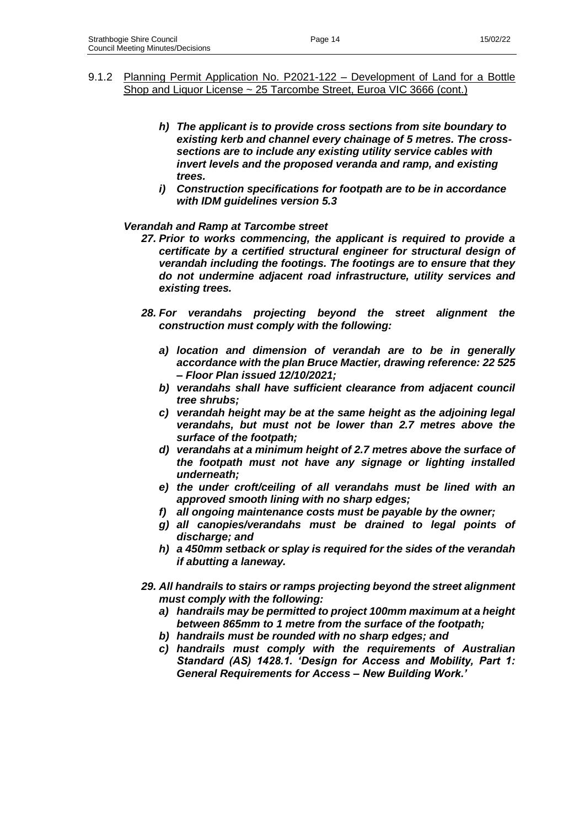- 9.1.2 Planning Permit Application No. P2021-122 Development of Land for a Bottle Shop and Liquor License ~ 25 Tarcombe Street, Euroa VIC 3666 (cont.)
	- *h) The applicant is to provide cross sections from site boundary to existing kerb and channel every chainage of 5 metres. The crosssections are to include any existing utility service cables with invert levels and the proposed veranda and ramp, and existing trees.*
	- *i) Construction specifications for footpath are to be in accordance with IDM guidelines version 5.3*

#### *Verandah and Ramp at Tarcombe street*

- *27. Prior to works commencing, the applicant is required to provide a certificate by a certified structural engineer for structural design of verandah including the footings. The footings are to ensure that they do not undermine adjacent road infrastructure, utility services and existing trees.*
- *28. For verandahs projecting beyond the street alignment the construction must comply with the following:*
	- *a) location and dimension of verandah are to be in generally accordance with the plan Bruce Mactier, drawing reference: 22 525 – Floor Plan issued 12/10/2021;*
	- *b) verandahs shall have sufficient clearance from adjacent council tree shrubs;*
	- *c) verandah height may be at the same height as the adjoining legal verandahs, but must not be lower than 2.7 metres above the surface of the footpath;*
	- *d) verandahs at a minimum height of 2.7 metres above the surface of the footpath must not have any signage or lighting installed underneath;*
	- *e) the under croft/ceiling of all verandahs must be lined with an approved smooth lining with no sharp edges;*
	- *f) all ongoing maintenance costs must be payable by the owner;*
	- *g) all canopies/verandahs must be drained to legal points of discharge; and*
	- *h) a 450mm setback or splay is required for the sides of the verandah if abutting a laneway.*
- *29. All handrails to stairs or ramps projecting beyond the street alignment must comply with the following:*
	- *a) handrails may be permitted to project 100mm maximum at a height between 865mm to 1 metre from the surface of the footpath;*
	- *b) handrails must be rounded with no sharp edges; and*
	- *c) handrails must comply with the requirements of Australian Standard (AS) 1428.1. 'Design for Access and Mobility, Part 1: General Requirements for Access – New Building Work.'*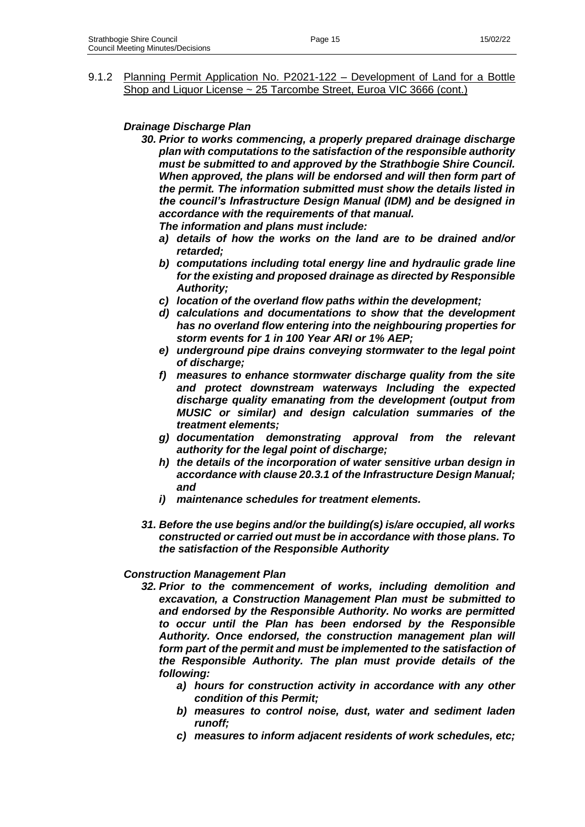### *Drainage Discharge Plan*

*30. Prior to works commencing, a properly prepared drainage discharge plan with computations to the satisfaction of the responsible authority must be submitted to and approved by the Strathbogie Shire Council. When approved, the plans will be endorsed and will then form part of the permit. The information submitted must show the details listed in the council's Infrastructure Design Manual (IDM) and be designed in accordance with the requirements of that manual.*

*The information and plans must include:* 

- *a) details of how the works on the land are to be drained and/or retarded;*
- *b) computations including total energy line and hydraulic grade line for the existing and proposed drainage as directed by Responsible Authority;*
- *c) location of the overland flow paths within the development;*
- *d) calculations and documentations to show that the development has no overland flow entering into the neighbouring properties for storm events for 1 in 100 Year ARI or 1% AEP;*
- *e) underground pipe drains conveying stormwater to the legal point of discharge;*
- *f) measures to enhance stormwater discharge quality from the site and protect downstream waterways Including the expected discharge quality emanating from the development (output from MUSIC or similar) and design calculation summaries of the treatment elements;*
- *g) documentation demonstrating approval from the relevant authority for the legal point of discharge;*
- *h) the details of the incorporation of water sensitive urban design in accordance with clause 20.3.1 of the Infrastructure Design Manual; and*
- *i) maintenance schedules for treatment elements.*
- *31. Before the use begins and/or the building(s) is/are occupied, all works constructed or carried out must be in accordance with those plans. To the satisfaction of the Responsible Authority*

### *Construction Management Plan*

- *32. Prior to the commencement of works, including demolition and excavation, a Construction Management Plan must be submitted to and endorsed by the Responsible Authority. No works are permitted to occur until the Plan has been endorsed by the Responsible Authority. Once endorsed, the construction management plan will form part of the permit and must be implemented to the satisfaction of the Responsible Authority. The plan must provide details of the following:*
	- *a) hours for construction activity in accordance with any other condition of this Permit;*
	- *b) measures to control noise, dust, water and sediment laden runoff;*
	- *c) measures to inform adjacent residents of work schedules, etc;*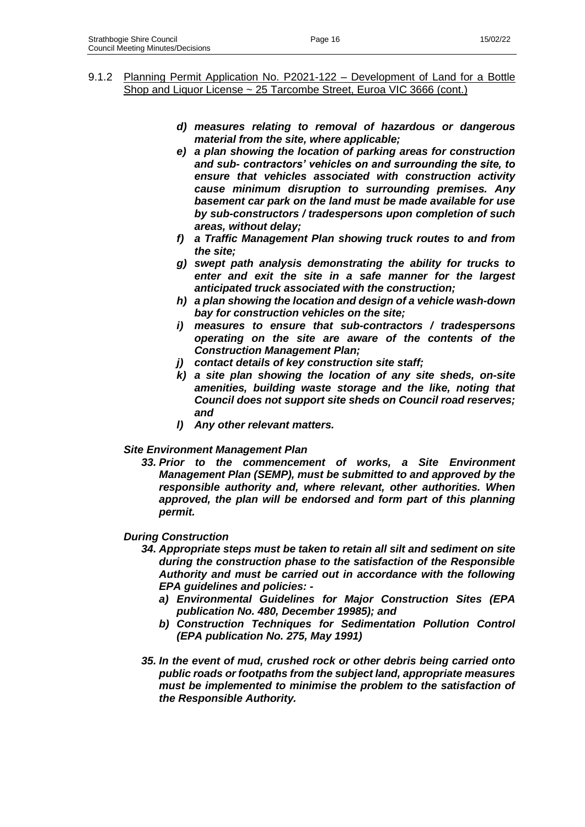- *d) measures relating to removal of hazardous or dangerous material from the site, where applicable;*
- *e) a plan showing the location of parking areas for construction and sub- contractors' vehicles on and surrounding the site, to ensure that vehicles associated with construction activity cause minimum disruption to surrounding premises. Any basement car park on the land must be made available for use by sub-constructors / tradespersons upon completion of such areas, without delay;*
- *f) a Traffic Management Plan showing truck routes to and from the site;*
- *g) swept path analysis demonstrating the ability for trucks to enter and exit the site in a safe manner for the largest anticipated truck associated with the construction;*
- *h) a plan showing the location and design of a vehicle wash-down bay for construction vehicles on the site;*
- *i) measures to ensure that sub-contractors / tradespersons operating on the site are aware of the contents of the Construction Management Plan;*
- *j) contact details of key construction site staff;*
- *k) a site plan showing the location of any site sheds, on-site amenities, building waste storage and the like, noting that Council does not support site sheds on Council road reserves; and*
- *l) Any other relevant matters.*

# *Site Environment Management Plan*

*33. Prior to the commencement of works, a Site Environment Management Plan (SEMP), must be submitted to and approved by the responsible authority and, where relevant, other authorities. When approved, the plan will be endorsed and form part of this planning permit.*

# *During Construction*

- *34. Appropriate steps must be taken to retain all silt and sediment on site during the construction phase to the satisfaction of the Responsible Authority and must be carried out in accordance with the following EPA guidelines and policies:* 
	- *a) Environmental Guidelines for Major Construction Sites (EPA publication No. 480, December 19985); and*
	- *b) Construction Techniques for Sedimentation Pollution Control (EPA publication No. 275, May 1991)*
- *35. In the event of mud, crushed rock or other debris being carried onto public roads or footpaths from the subject land, appropriate measures must be implemented to minimise the problem to the satisfaction of the Responsible Authority.*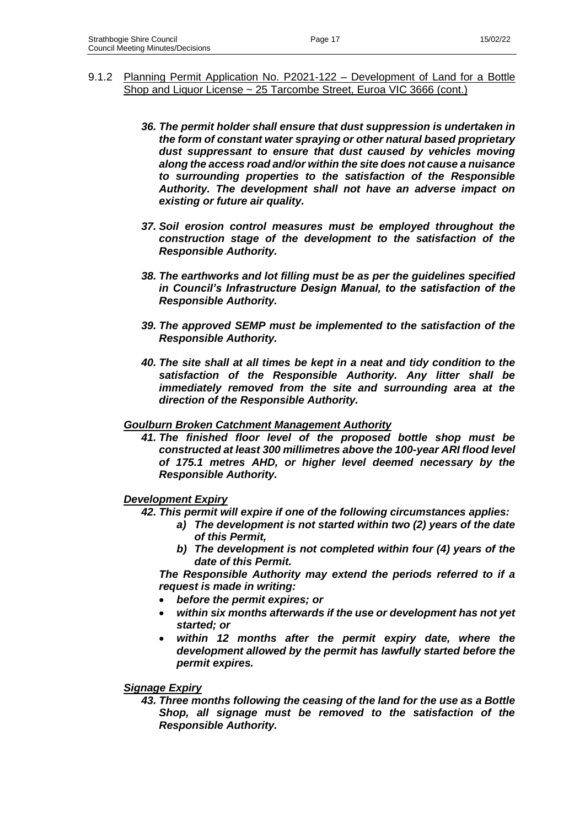- 9.1.2 Planning Permit Application No. P2021-122 Development of Land for a Bottle Shop and Liquor License ~ 25 Tarcombe Street, Euroa VIC 3666 (cont.)
	- *36. The permit holder shall ensure that dust suppression is undertaken in the form of constant water spraying or other natural based proprietary dust suppressant to ensure that dust caused by vehicles moving along the access road and/or within the site does not cause a nuisance to surrounding properties to the satisfaction of the Responsible Authority. The development shall not have an adverse impact on existing or future air quality.*
	- *37. Soil erosion control measures must be employed throughout the construction stage of the development to the satisfaction of the Responsible Authority.*
	- *38. The earthworks and lot filling must be as per the guidelines specified in Council's Infrastructure Design Manual, to the satisfaction of the Responsible Authority.*
	- *39. The approved SEMP must be implemented to the satisfaction of the Responsible Authority.*
	- *40. The site shall at all times be kept in a neat and tidy condition to the satisfaction of the Responsible Authority. Any litter shall be immediately removed from the site and surrounding area at the direction of the Responsible Authority.*

#### *Goulburn Broken Catchment Management Authority*

*41. The finished floor level of the proposed bottle shop must be constructed at least 300 millimetres above the 100-year ARI flood level of 175.1 metres AHD, or higher level deemed necessary by the Responsible Authority.*

### *Development Expiry*

- *42. This permit will expire if one of the following circumstances applies:*
	- *a) The development is not started within two (2) years of the date of this Permit,*
	- *b) The development is not completed within four (4) years of the date of this Permit.*

*The Responsible Authority may extend the periods referred to if a request is made in writing:*

- *before the permit expires; or*
- *within six months afterwards if the use or development has not yet started; or*
- within 12 months after the permit expiry date, where the *development allowed by the permit has lawfully started before the permit expires.*

### *Signage Expiry*

*43. Three months following the ceasing of the land for the use as a Bottle Shop, all signage must be removed to the satisfaction of the Responsible Authority.*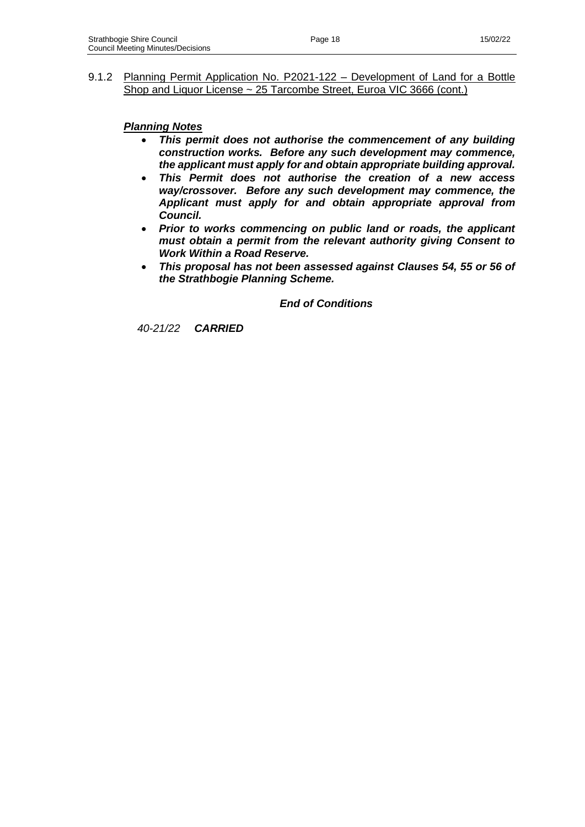*Planning Notes*

- *This permit does not authorise the commencement of any building construction works. Before any such development may commence, the applicant must apply for and obtain appropriate building approval.*
- *This Permit does not authorise the creation of a new access way/crossover. Before any such development may commence, the Applicant must apply for and obtain appropriate approval from Council.*
- *Prior to works commencing on public land or roads, the applicant must obtain a permit from the relevant authority giving Consent to Work Within a Road Reserve.*
- *This proposal has not been assessed against Clauses 54, 55 or 56 of the Strathbogie Planning Scheme.*

*End of Conditions*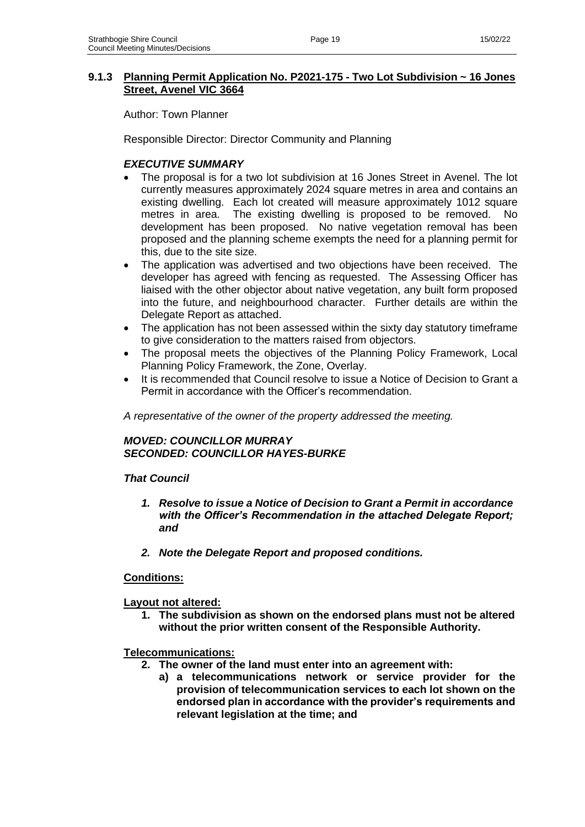### **9.1.3 Planning Permit Application No. P2021-175 - Two Lot Subdivision ~ 16 Jones Street, Avenel VIC 3664**

Author: Town Planner

Responsible Director: Director Community and Planning

# *EXECUTIVE SUMMARY*

- The proposal is for a two lot subdivision at 16 Jones Street in Avenel. The lot currently measures approximately 2024 square metres in area and contains an existing dwelling. Each lot created will measure approximately 1012 square metres in area. The existing dwelling is proposed to be removed. No development has been proposed. No native vegetation removal has been proposed and the planning scheme exempts the need for a planning permit for this, due to the site size.
- The application was advertised and two objections have been received. The developer has agreed with fencing as requested. The Assessing Officer has liaised with the other objector about native vegetation, any built form proposed into the future, and neighbourhood character. Further details are within the Delegate Report as attached.
- The application has not been assessed within the sixty day statutory timeframe to give consideration to the matters raised from objectors.
- The proposal meets the objectives of the Planning Policy Framework, Local Planning Policy Framework, the Zone, Overlay.
- It is recommended that Council resolve to issue a Notice of Decision to Grant a Permit in accordance with the Officer's recommendation.

*A representative of the owner of the property addressed the meeting.*

### *MOVED: COUNCILLOR MURRAY SECONDED: COUNCILLOR HAYES-BURKE*

# *That Council*

- *1. Resolve to issue a Notice of Decision to Grant a Permit in accordance with the Officer's Recommendation in the attached Delegate Report; and*
- *2. Note the Delegate Report and proposed conditions.*

### **Conditions:**

### **Layout not altered:**

**1. The subdivision as shown on the endorsed plans must not be altered without the prior written consent of the Responsible Authority.** 

### **Telecommunications:**

- **2. The owner of the land must enter into an agreement with:**
	- **a) a telecommunications network or service provider for the provision of telecommunication services to each lot shown on the endorsed plan in accordance with the provider's requirements and relevant legislation at the time; and**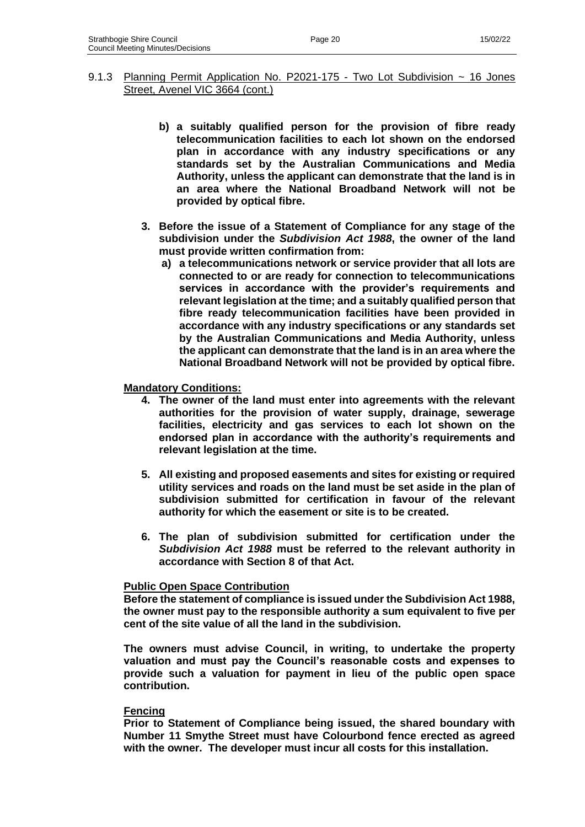- 9.1.3 Planning Permit Application No. P2021-175 Two Lot Subdivision ~ 16 Jones Street, Avenel VIC 3664 (cont.)
	- **b) a suitably qualified person for the provision of fibre ready telecommunication facilities to each lot shown on the endorsed plan in accordance with any industry specifications or any standards set by the Australian Communications and Media Authority, unless the applicant can demonstrate that the land is in an area where the National Broadband Network will not be provided by optical fibre.**
	- **3. Before the issue of a Statement of Compliance for any stage of the subdivision under the** *Subdivision Act 1988***, the owner of the land must provide written confirmation from:**
		- **a) a telecommunications network or service provider that all lots are connected to or are ready for connection to telecommunications services in accordance with the provider's requirements and relevant legislation at the time; and a suitably qualified person that fibre ready telecommunication facilities have been provided in accordance with any industry specifications or any standards set by the Australian Communications and Media Authority, unless the applicant can demonstrate that the land is in an area where the National Broadband Network will not be provided by optical fibre.**

#### **Mandatory Conditions:**

- **4. The owner of the land must enter into agreements with the relevant authorities for the provision of water supply, drainage, sewerage facilities, electricity and gas services to each lot shown on the endorsed plan in accordance with the authority's requirements and relevant legislation at the time.**
- **5. All existing and proposed easements and sites for existing or required utility services and roads on the land must be set aside in the plan of subdivision submitted for certification in favour of the relevant authority for which the easement or site is to be created.**
- **6. The plan of subdivision submitted for certification under the**  *Subdivision Act 1988* **must be referred to the relevant authority in accordance with Section 8 of that Act.**

### **Public Open Space Contribution**

**Before the statement of compliance is issued under the Subdivision Act 1988, the owner must pay to the responsible authority a sum equivalent to five per cent of the site value of all the land in the subdivision.**

**The owners must advise Council, in writing, to undertake the property valuation and must pay the Council's reasonable costs and expenses to provide such a valuation for payment in lieu of the public open space contribution.**

#### **Fencing**

**Prior to Statement of Compliance being issued, the shared boundary with Number 11 Smythe Street must have Colourbond fence erected as agreed with the owner. The developer must incur all costs for this installation.**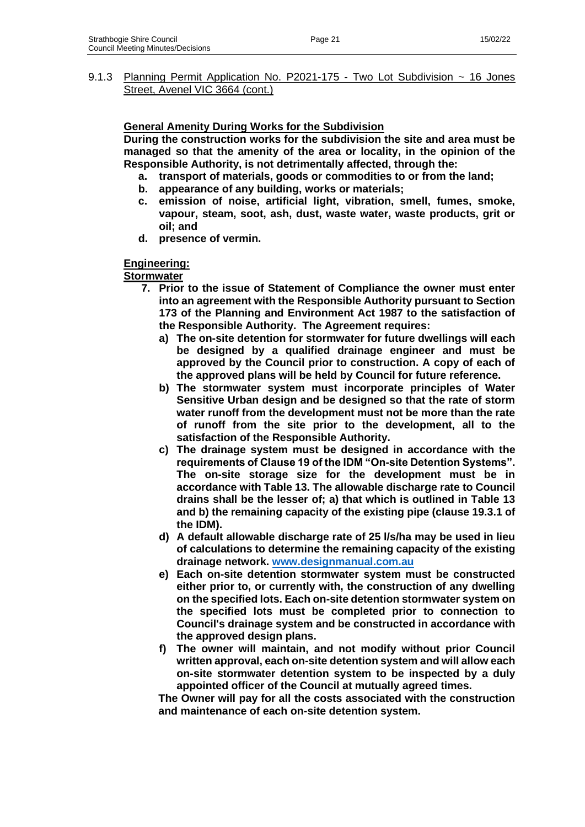9.1.3 Planning Permit Application No. P2021-175 - Two Lot Subdivision ~ 16 Jones Street, Avenel VIC 3664 (cont.)

### **General Amenity During Works for the Subdivision**

**During the construction works for the subdivision the site and area must be managed so that the amenity of the area or locality, in the opinion of the Responsible Authority, is not detrimentally affected, through the:**

- **a. transport of materials, goods or commodities to or from the land;**
- **b. appearance of any building, works or materials;**
- **c. emission of noise, artificial light, vibration, smell, fumes, smoke, vapour, steam, soot, ash, dust, waste water, waste products, grit or oil; and**
- **d. presence of vermin.**

### **Engineering:**

**Stormwater** 

- **7. Prior to the issue of Statement of Compliance the owner must enter into an agreement with the Responsible Authority pursuant to Section 173 of the Planning and Environment Act 1987 to the satisfaction of the Responsible Authority. The Agreement requires:** 
	- **a) The on-site detention for stormwater for future dwellings will each be designed by a qualified drainage engineer and must be approved by the Council prior to construction. A copy of each of the approved plans will be held by Council for future reference.**
	- **b) The stormwater system must incorporate principles of Water Sensitive Urban design and be designed so that the rate of storm water runoff from the development must not be more than the rate of runoff from the site prior to the development, all to the satisfaction of the Responsible Authority.**
	- **c) The drainage system must be designed in accordance with the requirements of Clause 19 of the IDM "On-site Detention Systems". The on-site storage size for the development must be in accordance with Table 13. The allowable discharge rate to Council drains shall be the lesser of; a) that which is outlined in Table 13 and b) the remaining capacity of the existing pipe (clause 19.3.1 of the IDM).**
	- **d) A default allowable discharge rate of 25 l/s/ha may be used in lieu of calculations to determine the remaining capacity of the existing drainage network. [www.designmanual.com.au](http://www.designmanual.com.au/)**
	- **e) Each on-site detention stormwater system must be constructed either prior to, or currently with, the construction of any dwelling on the specified lots. Each on-site detention stormwater system on the specified lots must be completed prior to connection to Council's drainage system and be constructed in accordance with the approved design plans.**
	- **f) The owner will maintain, and not modify without prior Council written approval, each on-site detention system and will allow each on-site stormwater detention system to be inspected by a duly appointed officer of the Council at mutually agreed times.**

**The Owner will pay for all the costs associated with the construction and maintenance of each on-site detention system.**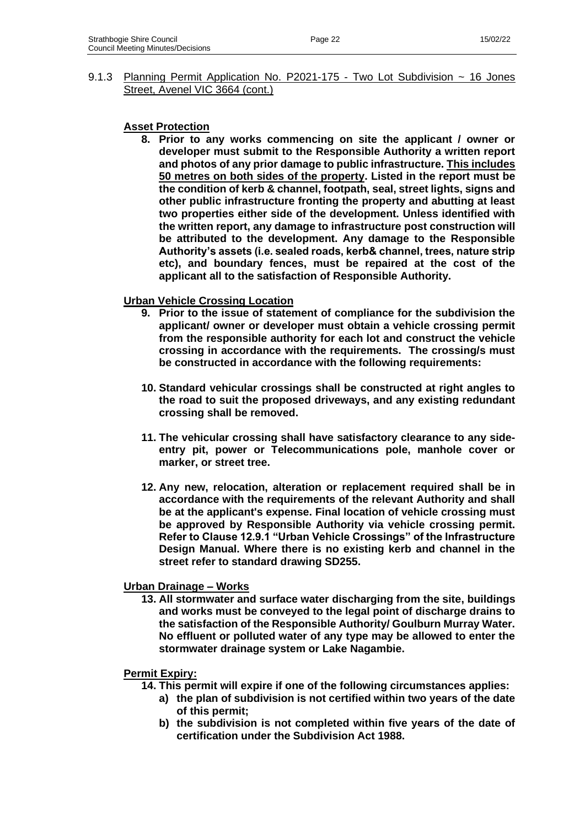9.1.3 Planning Permit Application No. P2021-175 - Two Lot Subdivision ~ 16 Jones Street, Avenel VIC 3664 (cont.)

### **Asset Protection**

**8. Prior to any works commencing on site the applicant / owner or developer must submit to the Responsible Authority a written report and photos of any prior damage to public infrastructure. This includes 50 metres on both sides of the property. Listed in the report must be the condition of kerb & channel, footpath, seal, street lights, signs and other public infrastructure fronting the property and abutting at least two properties either side of the development. Unless identified with the written report, any damage to infrastructure post construction will be attributed to the development. Any damage to the Responsible Authority's assets (i.e. sealed roads, kerb& channel, trees, nature strip etc), and boundary fences, must be repaired at the cost of the applicant all to the satisfaction of Responsible Authority.**

### **Urban Vehicle Crossing Location**

- **9. Prior to the issue of statement of compliance for the subdivision the applicant/ owner or developer must obtain a vehicle crossing permit from the responsible authority for each lot and construct the vehicle crossing in accordance with the requirements. The crossing/s must be constructed in accordance with the following requirements:**
- **10. Standard vehicular crossings shall be constructed at right angles to the road to suit the proposed driveways, and any existing redundant crossing shall be removed.**
- **11. The vehicular crossing shall have satisfactory clearance to any sideentry pit, power or Telecommunications pole, manhole cover or marker, or street tree.**
- **12. Any new, relocation, alteration or replacement required shall be in accordance with the requirements of the relevant Authority and shall be at the applicant's expense. Final location of vehicle crossing must be approved by Responsible Authority via vehicle crossing permit. Refer to Clause 12.9.1 "Urban Vehicle Crossings" of the Infrastructure Design Manual. Where there is no existing kerb and channel in the street refer to standard drawing SD255.**

### **Urban Drainage – Works**

**13. All stormwater and surface water discharging from the site, buildings and works must be conveyed to the legal point of discharge drains to the satisfaction of the Responsible Authority/ Goulburn Murray Water. No effluent or polluted water of any type may be allowed to enter the stormwater drainage system or Lake Nagambie.**

### **Permit Expiry:**

- **14. This permit will expire if one of the following circumstances applies:**
	- **a) the plan of subdivision is not certified within two years of the date of this permit;**
		- **b) the subdivision is not completed within five years of the date of certification under the Subdivision Act 1988.**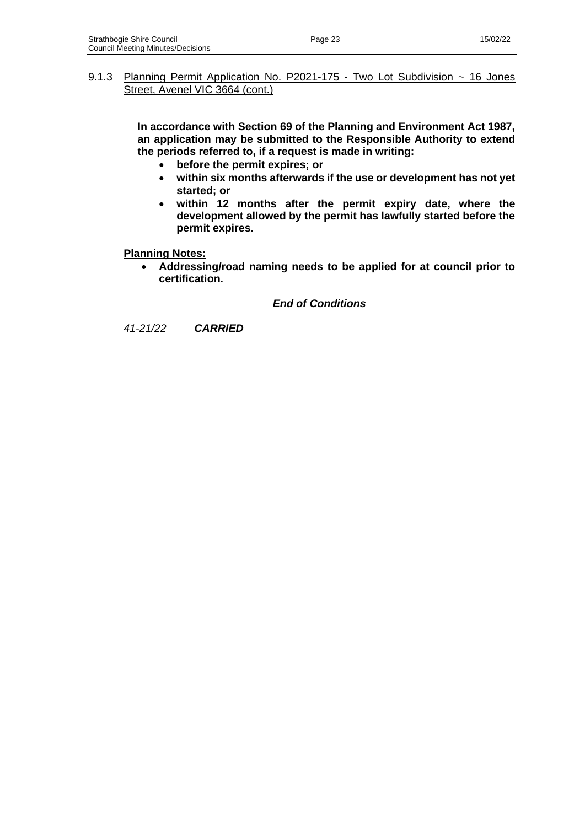# 9.1.3 Planning Permit Application No. P2021-175 - Two Lot Subdivision ~ 16 Jones Street, Avenel VIC 3664 (cont.)

**In accordance with Section 69 of the Planning and Environment Act 1987, an application may be submitted to the Responsible Authority to extend the periods referred to, if a request is made in writing:**

- **before the permit expires; or**
- **within six months afterwards if the use or development has not yet started; or**
- **within 12 months after the permit expiry date, where the development allowed by the permit has lawfully started before the permit expires.**

**Planning Notes:**

• **Addressing/road naming needs to be applied for at council prior to certification.**

*End of Conditions*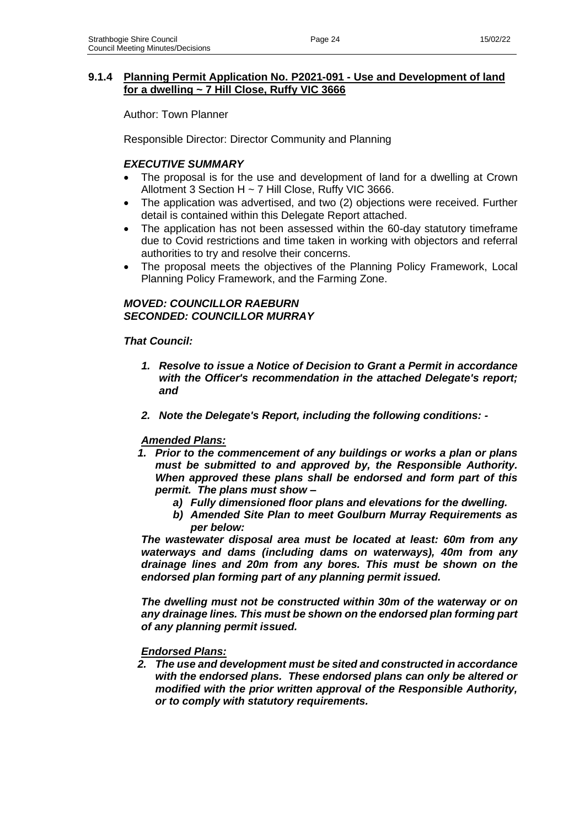# **9.1.4 Planning Permit Application No. P2021-091 - Use and Development of land for a dwelling ~ 7 Hill Close, Ruffy VIC 3666**

Author: Town Planner

Responsible Director: Director Community and Planning

# *EXECUTIVE SUMMARY*

- The proposal is for the use and development of land for a dwelling at Crown Allotment 3 Section H ~ 7 Hill Close, Ruffy VIC 3666.
- The application was advertised, and two (2) objections were received. Further detail is contained within this Delegate Report attached.
- The application has not been assessed within the 60-day statutory timeframe due to Covid restrictions and time taken in working with objectors and referral authorities to try and resolve their concerns.
- The proposal meets the objectives of the Planning Policy Framework, Local Planning Policy Framework, and the Farming Zone.

### *MOVED: COUNCILLOR RAEBURN SECONDED: COUNCILLOR MURRAY*

### *That Council:*

- *1. Resolve to issue a Notice of Decision to Grant a Permit in accordance with the Officer's recommendation in the attached Delegate's report; and*
- *2. Note the Delegate's Report, including the following conditions: -*

### *Amended Plans:*

- *1. Prior to the commencement of any buildings or works a plan or plans must be submitted to and approved by, the Responsible Authority. When approved these plans shall be endorsed and form part of this permit. The plans must show –*
	- *a) Fully dimensioned floor plans and elevations for the dwelling.*
	- *b) Amended Site Plan to meet Goulburn Murray Requirements as per below:*

*The wastewater disposal area must be located at least: 60m from any waterways and dams (including dams on waterways), 40m from any drainage lines and 20m from any bores. This must be shown on the endorsed plan forming part of any planning permit issued.* 

*The dwelling must not be constructed within 30m of the waterway or on any drainage lines. This must be shown on the endorsed plan forming part of any planning permit issued.*

#### *Endorsed Plans:*

*2. The use and development must be sited and constructed in accordance with the endorsed plans. These endorsed plans can only be altered or modified with the prior written approval of the Responsible Authority, or to comply with statutory requirements.*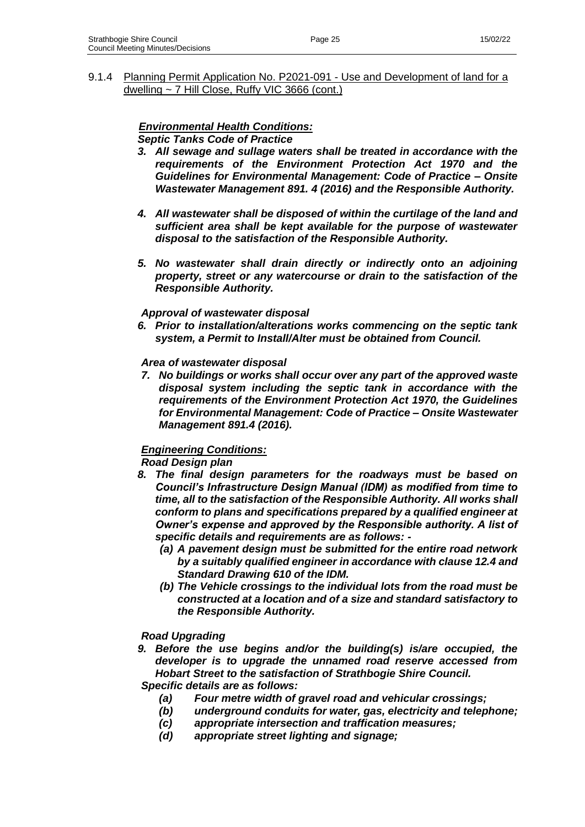9.1.4 Planning Permit Application No. P2021-091 - Use and Development of land for a dwelling ~ 7 Hill Close, Ruffy VIC 3666 (cont.)

# *Environmental Health Conditions:*

# *Septic Tanks Code of Practice*

- *3. All sewage and sullage waters shall be treated in accordance with the requirements of the Environment Protection Act 1970 and the Guidelines for Environmental Management: Code of Practice – Onsite Wastewater Management 891. 4 (2016) and the Responsible Authority.*
- *4. All wastewater shall be disposed of within the curtilage of the land and sufficient area shall be kept available for the purpose of wastewater disposal to the satisfaction of the Responsible Authority.*
- *5. No wastewater shall drain directly or indirectly onto an adjoining property, street or any watercourse or drain to the satisfaction of the Responsible Authority.*

### *Approval of wastewater disposal*

*6. Prior to installation/alterations works commencing on the septic tank system, a Permit to Install/Alter must be obtained from Council.* 

### *Area of wastewater disposal*

*7. No buildings or works shall occur over any part of the approved waste disposal system including the septic tank in accordance with the requirements of the Environment Protection Act 1970, the Guidelines for Environmental Management: Code of Practice – Onsite Wastewater Management 891.4 (2016).*

### *Engineering Conditions:*

### *Road Design plan*

- *8. The final design parameters for the roadways must be based on Council's Infrastructure Design Manual (IDM) as modified from time to time, all to the satisfaction of the Responsible Authority. All works shall conform to plans and specifications prepared by a qualified engineer at Owner's expense and approved by the Responsible authority. A list of specific details and requirements are as follows: -*
	- *(a) A pavement design must be submitted for the entire road network by a suitably qualified engineer in accordance with clause 12.4 and Standard Drawing 610 of the IDM.*
	- *(b) The Vehicle crossings to the individual lots from the road must be constructed at a location and of a size and standard satisfactory to the Responsible Authority.*

### *Road Upgrading*

*9. Before the use begins and/or the building(s) is/are occupied, the developer is to upgrade the unnamed road reserve accessed from Hobart Street to the satisfaction of Strathbogie Shire Council.* 

### *Specific details are as follows:*

- *(a) Four metre width of gravel road and vehicular crossings;*
- *(b) underground conduits for water, gas, electricity and telephone;*
- *(c) appropriate intersection and traffication measures;*
- *(d) appropriate street lighting and signage;*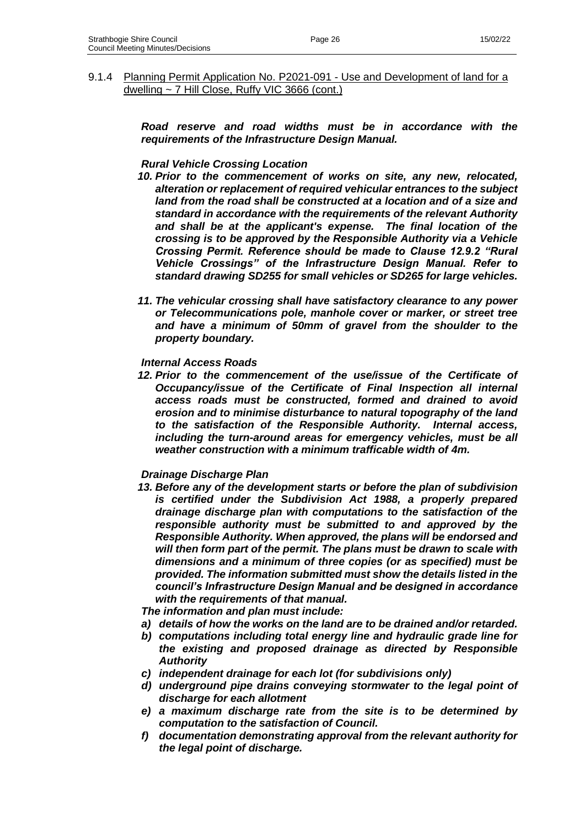*Road reserve and road widths must be in accordance with the requirements of the Infrastructure Design Manual.*

### *Rural Vehicle Crossing Location*

dwelling ~ 7 Hill Close, Ruffy VIC 3666 (cont.)

- *10. Prior to the commencement of works on site, any new, relocated, alteration or replacement of required vehicular entrances to the subject*  land from the road shall be constructed at a location and of a size and *standard in accordance with the requirements of the relevant Authority and shall be at the applicant's expense. The final location of the crossing is to be approved by the Responsible Authority via a Vehicle Crossing Permit. Reference should be made to Clause 12.9.2 "Rural Vehicle Crossings" of the Infrastructure Design Manual. Refer to standard drawing SD255 for small vehicles or SD265 for large vehicles.*
- *11. The vehicular crossing shall have satisfactory clearance to any power or Telecommunications pole, manhole cover or marker, or street tree and have a minimum of 50mm of gravel from the shoulder to the property boundary.*

#### *Internal Access Roads*

*12. Prior to the commencement of the use/issue of the Certificate of Occupancy/issue of the Certificate of Final Inspection all internal access roads must be constructed, formed and drained to avoid erosion and to minimise disturbance to natural topography of the land to the satisfaction of the Responsible Authority. Internal access, including the turn-around areas for emergency vehicles, must be all weather construction with a minimum trafficable width of 4m.*

#### *Drainage Discharge Plan*

*13. Before any of the development starts or before the plan of subdivision is certified under the Subdivision Act 1988, a properly prepared drainage discharge plan with computations to the satisfaction of the responsible authority must be submitted to and approved by the Responsible Authority. When approved, the plans will be endorsed and will then form part of the permit. The plans must be drawn to scale with dimensions and a minimum of three copies (or as specified) must be provided. The information submitted must show the details listed in the council's Infrastructure Design Manual and be designed in accordance with the requirements of that manual.*

*The information and plan must include:* 

- *a) details of how the works on the land are to be drained and/or retarded.*
- *b) computations including total energy line and hydraulic grade line for the existing and proposed drainage as directed by Responsible Authority*
- *c) independent drainage for each lot (for subdivisions only)*
- *d) underground pipe drains conveying stormwater to the legal point of discharge for each allotment*
- *e) a maximum discharge rate from the site is to be determined by computation to the satisfaction of Council.*
- *f) documentation demonstrating approval from the relevant authority for the legal point of discharge.*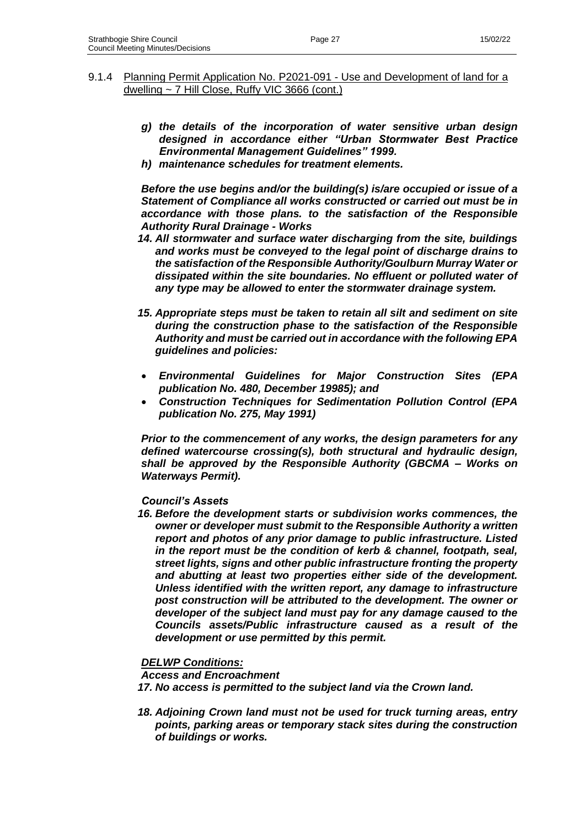- *g) the details of the incorporation of water sensitive urban design designed in accordance either "Urban Stormwater Best Practice Environmental Management Guidelines" 1999.*
- *h) maintenance schedules for treatment elements.*

*Before the use begins and/or the building(s) is/are occupied or issue of a Statement of Compliance all works constructed or carried out must be in accordance with those plans. to the satisfaction of the Responsible Authority Rural Drainage - Works*

- *14. All stormwater and surface water discharging from the site, buildings and works must be conveyed to the legal point of discharge drains to the satisfaction of the Responsible Authority/Goulburn Murray Water or dissipated within the site boundaries. No effluent or polluted water of any type may be allowed to enter the stormwater drainage system.*
- *15. Appropriate steps must be taken to retain all silt and sediment on site during the construction phase to the satisfaction of the Responsible Authority and must be carried out in accordance with the following EPA guidelines and policies:*
- *Environmental Guidelines for Major Construction Sites (EPA publication No. 480, December 19985); and*
- *Construction Techniques for Sedimentation Pollution Control (EPA publication No. 275, May 1991)*

*Prior to the commencement of any works, the design parameters for any defined watercourse crossing(s), both structural and hydraulic design, shall be approved by the Responsible Authority (GBCMA – Works on Waterways Permit).*

### *Council's Assets*

*16. Before the development starts or subdivision works commences, the owner or developer must submit to the Responsible Authority a written report and photos of any prior damage to public infrastructure. Listed in the report must be the condition of kerb & channel, footpath, seal, street lights, signs and other public infrastructure fronting the property and abutting at least two properties either side of the development. Unless identified with the written report, any damage to infrastructure post construction will be attributed to the development. The owner or developer of the subject land must pay for any damage caused to the Councils assets/Public infrastructure caused as a result of the development or use permitted by this permit.*

### *DELWP Conditions:*

*Access and Encroachment* 

*17. No access is permitted to the subject land via the Crown land.* 

*18. Adjoining Crown land must not be used for truck turning areas, entry points, parking areas or temporary stack sites during the construction of buildings or works.*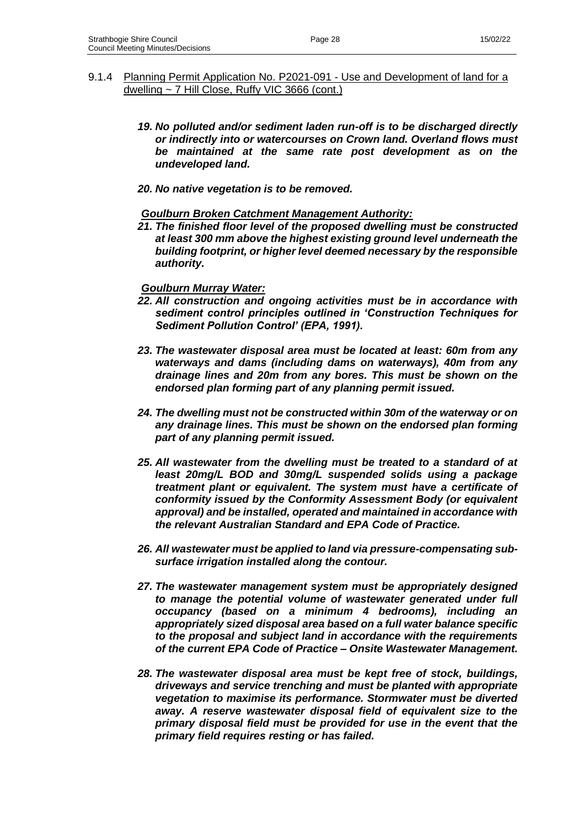- 9.1.4 Planning Permit Application No. P2021-091 Use and Development of land for a dwelling ~ 7 Hill Close, Ruffy VIC 3666 (cont.)
	- *19. No polluted and/or sediment laden run-off is to be discharged directly or indirectly into or watercourses on Crown land. Overland flows must be maintained at the same rate post development as on the undeveloped land.*
	- *20. No native vegetation is to be removed.*

### *Goulburn Broken Catchment Management Authority:*

*21. The finished floor level of the proposed dwelling must be constructed at least 300 mm above the highest existing ground level underneath the building footprint, or higher level deemed necessary by the responsible authority.*

#### *Goulburn Murray Water:*

- *22. All construction and ongoing activities must be in accordance with sediment control principles outlined in 'Construction Techniques for Sediment Pollution Control' (EPA, 1991).*
- *23. The wastewater disposal area must be located at least: 60m from any waterways and dams (including dams on waterways), 40m from any drainage lines and 20m from any bores. This must be shown on the endorsed plan forming part of any planning permit issued.*
- *24. The dwelling must not be constructed within 30m of the waterway or on any drainage lines. This must be shown on the endorsed plan forming part of any planning permit issued.*
- *25. All wastewater from the dwelling must be treated to a standard of at least 20mg/L BOD and 30mg/L suspended solids using a package treatment plant or equivalent. The system must have a certificate of conformity issued by the Conformity Assessment Body (or equivalent approval) and be installed, operated and maintained in accordance with the relevant Australian Standard and EPA Code of Practice.*
- *26. All wastewater must be applied to land via pressure-compensating subsurface irrigation installed along the contour.*
- *27. The wastewater management system must be appropriately designed to manage the potential volume of wastewater generated under full occupancy (based on a minimum 4 bedrooms), including an appropriately sized disposal area based on a full water balance specific to the proposal and subject land in accordance with the requirements of the current EPA Code of Practice – Onsite Wastewater Management.*
- *28. The wastewater disposal area must be kept free of stock, buildings, driveways and service trenching and must be planted with appropriate vegetation to maximise its performance. Stormwater must be diverted away. A reserve wastewater disposal field of equivalent size to the primary disposal field must be provided for use in the event that the primary field requires resting or has failed.*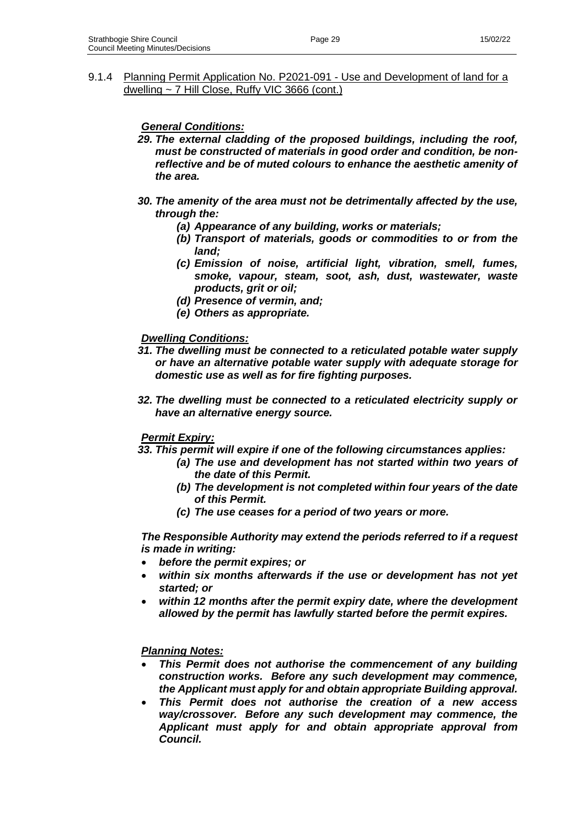### 9.1.4 Planning Permit Application No. P2021-091 - Use and Development of land for a dwelling ~ 7 Hill Close, Ruffy VIC 3666 (cont.)

### *General Conditions:*

- *29. The external cladding of the proposed buildings, including the roof, must be constructed of materials in good order and condition, be nonreflective and be of muted colours to enhance the aesthetic amenity of the area.*
- *30. The amenity of the area must not be detrimentally affected by the use, through the:*
	- *(a) Appearance of any building, works or materials;*
	- *(b) Transport of materials, goods or commodities to or from the land;*
	- *(c) Emission of noise, artificial light, vibration, smell, fumes, smoke, vapour, steam, soot, ash, dust, wastewater, waste products, grit or oil;*
	- *(d) Presence of vermin, and;*
	- *(e) Others as appropriate.*

### *Dwelling Conditions:*

- *31. The dwelling must be connected to a reticulated potable water supply or have an alternative potable water supply with adequate storage for domestic use as well as for fire fighting purposes.*
- *32. The dwelling must be connected to a reticulated electricity supply or have an alternative energy source.*

### *Permit Expiry:*

#### *33. This permit will expire if one of the following circumstances applies:*

- *(a) The use and development has not started within two years of the date of this Permit.*
- *(b) The development is not completed within four years of the date of this Permit.*
- *(c) The use ceases for a period of two years or more.*

*The Responsible Authority may extend the periods referred to if a request is made in writing:*

- *before the permit expires; or*
- *within six months afterwards if the use or development has not yet started; or*
- *within 12 months after the permit expiry date, where the development allowed by the permit has lawfully started before the permit expires.*

#### *Planning Notes:*

- *This Permit does not authorise the commencement of any building construction works. Before any such development may commence, the Applicant must apply for and obtain appropriate Building approval.*
- *This Permit does not authorise the creation of a new access way/crossover. Before any such development may commence, the Applicant must apply for and obtain appropriate approval from Council.*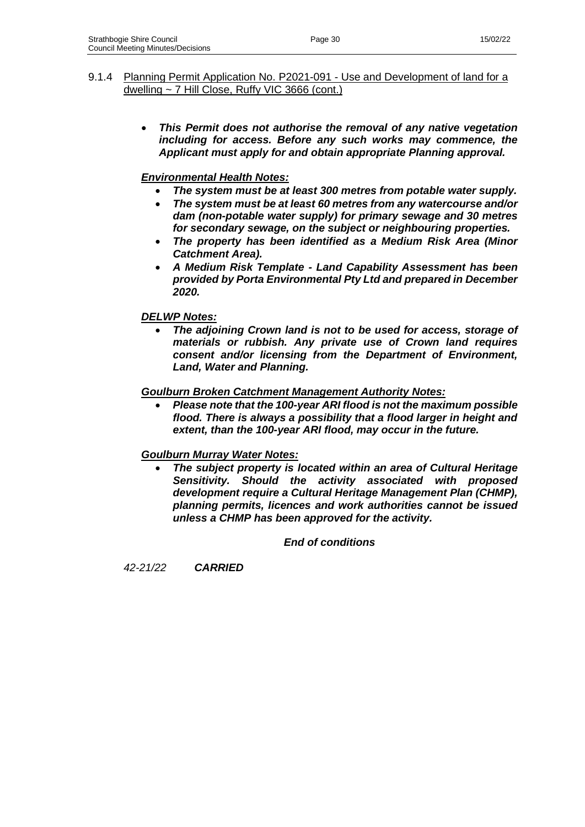• *This Permit does not authorise the removal of any native vegetation including for access. Before any such works may commence, the Applicant must apply for and obtain appropriate Planning approval.*

# *Environmental Health Notes:*

- *The system must be at least 300 metres from potable water supply.*
- *The system must be at least 60 metres from any watercourse and/or dam (non-potable water supply) for primary sewage and 30 metres for secondary sewage, on the subject or neighbouring properties.*
- *The property has been identified as a Medium Risk Area (Minor Catchment Area).*
- *A Medium Risk Template - Land Capability Assessment has been provided by Porta Environmental Pty Ltd and prepared in December 2020.*

# *DELWP Notes:*

• *The adjoining Crown land is not to be used for access, storage of materials or rubbish. Any private use of Crown land requires consent and/or licensing from the Department of Environment, Land, Water and Planning.*

# *Goulburn Broken Catchment Management Authority Notes:*

• *Please note that the 100-year ARI flood is not the maximum possible flood. There is always a possibility that a flood larger in height and extent, than the 100-year ARI flood, may occur in the future.*

# *Goulburn Murray Water Notes:*

• *The subject property is located within an area of Cultural Heritage Sensitivity. Should the activity associated with proposed development require a Cultural Heritage Management Plan (CHMP), planning permits, licences and work authorities cannot be issued unless a CHMP has been approved for the activity.*

*End of conditions*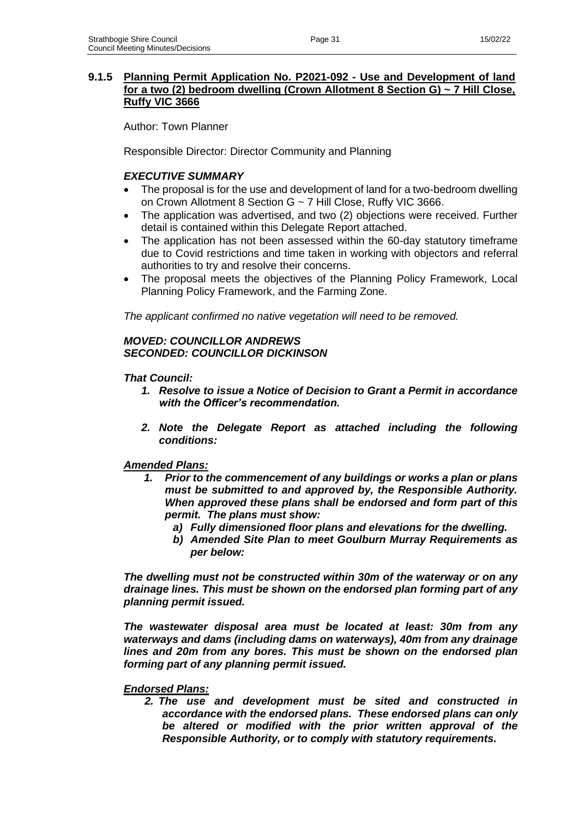### **9.1.5 Planning Permit Application No. P2021-092 - Use and Development of land for a two (2) bedroom dwelling (Crown Allotment 8 Section G) ~ 7 Hill Close, Ruffy VIC 3666**

Author: Town Planner

Responsible Director: Director Community and Planning

### *EXECUTIVE SUMMARY*

- The proposal is for the use and development of land for a two-bedroom dwelling on Crown Allotment 8 Section G ~ 7 Hill Close, Ruffy VIC 3666.
- The application was advertised, and two (2) objections were received. Further detail is contained within this Delegate Report attached.
- The application has not been assessed within the 60-day statutory timeframe due to Covid restrictions and time taken in working with objectors and referral authorities to try and resolve their concerns.
- The proposal meets the objectives of the Planning Policy Framework, Local Planning Policy Framework, and the Farming Zone.

*The applicant confirmed no native vegetation will need to be removed.*

### *MOVED: COUNCILLOR ANDREWS SECONDED: COUNCILLOR DICKINSON*

#### *That Council:*

- *1. Resolve to issue a Notice of Decision to Grant a Permit in accordance with the Officer's recommendation.*
- *2. Note the Delegate Report as attached including the following conditions:*

### *Amended Plans:*

- *1. Prior to the commencement of any buildings or works a plan or plans must be submitted to and approved by, the Responsible Authority. When approved these plans shall be endorsed and form part of this permit. The plans must show:* 
	- *a) Fully dimensioned floor plans and elevations for the dwelling.*
	- *b) Amended Site Plan to meet Goulburn Murray Requirements as per below:*

*The dwelling must not be constructed within 30m of the waterway or on any drainage lines. This must be shown on the endorsed plan forming part of any planning permit issued.*

*The wastewater disposal area must be located at least: 30m from any waterways and dams (including dams on waterways), 40m from any drainage lines and 20m from any bores. This must be shown on the endorsed plan forming part of any planning permit issued.*

#### *Endorsed Plans:*

*2. The use and development must be sited and constructed in accordance with the endorsed plans. These endorsed plans can only be altered or modified with the prior written approval of the Responsible Authority, or to comply with statutory requirements.*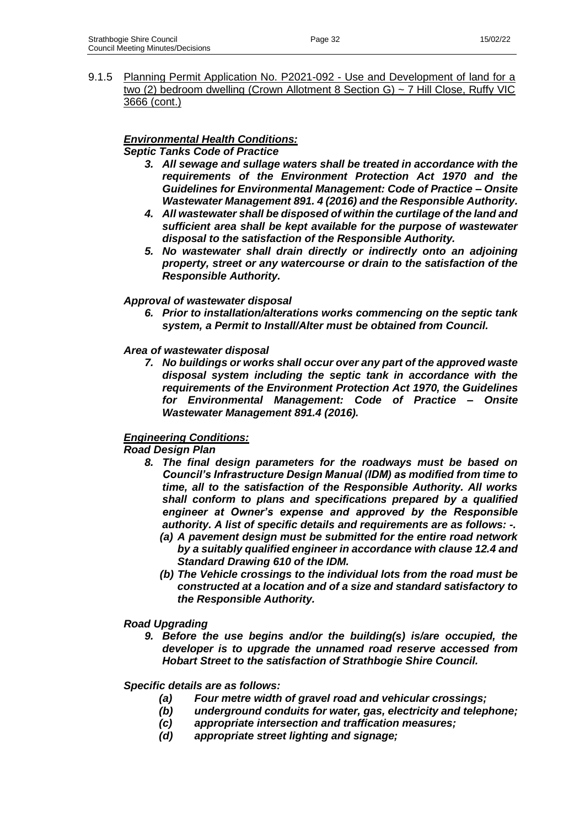9.1.5 Planning Permit Application No. P2021-092 - Use and Development of land for a two (2) bedroom dwelling (Crown Allotment 8 Section G) ~ 7 Hill Close, Ruffy VIC 3666 (cont.)

# *Environmental Health Conditions:*

*Septic Tanks Code of Practice* 

- *3. All sewage and sullage waters shall be treated in accordance with the requirements of the Environment Protection Act 1970 and the Guidelines for Environmental Management: Code of Practice – Onsite Wastewater Management 891. 4 (2016) and the Responsible Authority.*
- *4. All wastewater shall be disposed of within the curtilage of the land and sufficient area shall be kept available for the purpose of wastewater disposal to the satisfaction of the Responsible Authority.*
- *5. No wastewater shall drain directly or indirectly onto an adjoining property, street or any watercourse or drain to the satisfaction of the Responsible Authority.*

# *Approval of wastewater disposal*

*6. Prior to installation/alterations works commencing on the septic tank system, a Permit to Install/Alter must be obtained from Council.* 

### *Area of wastewater disposal*

*7. No buildings or works shall occur over any part of the approved waste disposal system including the septic tank in accordance with the requirements of the Environment Protection Act 1970, the Guidelines for Environmental Management: Code of Practice – Onsite Wastewater Management 891.4 (2016).*

# *Engineering Conditions:*

*Road Design Plan*

- *8. The final design parameters for the roadways must be based on Council's Infrastructure Design Manual (IDM) as modified from time to time, all to the satisfaction of the Responsible Authority. All works shall conform to plans and specifications prepared by a qualified engineer at Owner's expense and approved by the Responsible authority. A list of specific details and requirements are as follows: -.*
	- *(a) A pavement design must be submitted for the entire road network by a suitably qualified engineer in accordance with clause 12.4 and Standard Drawing 610 of the IDM.*
	- *(b) The Vehicle crossings to the individual lots from the road must be constructed at a location and of a size and standard satisfactory to the Responsible Authority.*

### *Road Upgrading*

*9. Before the use begins and/or the building(s) is/are occupied, the developer is to upgrade the unnamed road reserve accessed from Hobart Street to the satisfaction of Strathbogie Shire Council.* 

### *Specific details are as follows:*

- *(a) Four metre width of gravel road and vehicular crossings;*
- *(b) underground conduits for water, gas, electricity and telephone;*
- *(c) appropriate intersection and traffication measures;*
- *(d) appropriate street lighting and signage;*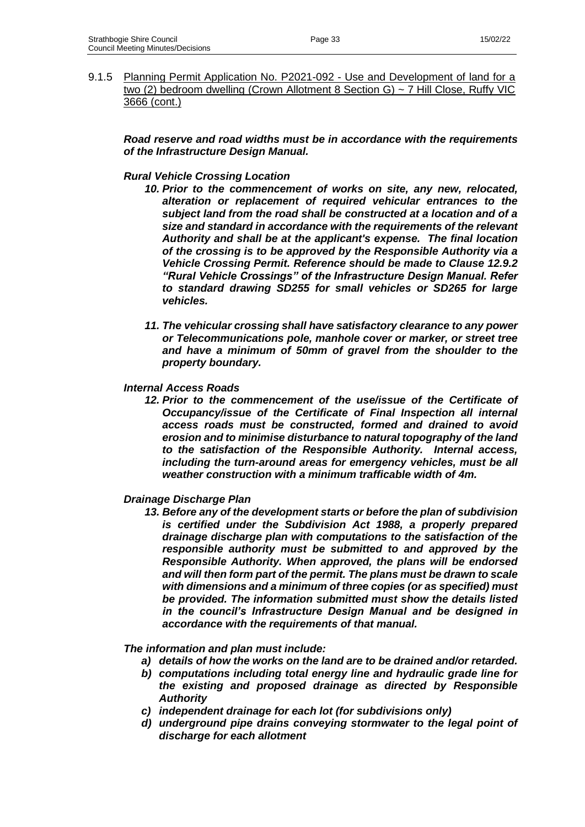9.1.5 Planning Permit Application No. P2021-092 - Use and Development of land for a two (2) bedroom dwelling (Crown Allotment 8 Section G) ~ 7 Hill Close, Ruffy VIC 3666 (cont.)

*Road reserve and road widths must be in accordance with the requirements of the Infrastructure Design Manual.*

#### *Rural Vehicle Crossing Location*

- *10. Prior to the commencement of works on site, any new, relocated, alteration or replacement of required vehicular entrances to the subject land from the road shall be constructed at a location and of a size and standard in accordance with the requirements of the relevant Authority and shall be at the applicant's expense. The final location of the crossing is to be approved by the Responsible Authority via a Vehicle Crossing Permit. Reference should be made to Clause 12.9.2 "Rural Vehicle Crossings" of the Infrastructure Design Manual. Refer to standard drawing SD255 for small vehicles or SD265 for large vehicles.*
- *11. The vehicular crossing shall have satisfactory clearance to any power or Telecommunications pole, manhole cover or marker, or street tree and have a minimum of 50mm of gravel from the shoulder to the property boundary.*

#### *Internal Access Roads*

*12. Prior to the commencement of the use/issue of the Certificate of Occupancy/issue of the Certificate of Final Inspection all internal access roads must be constructed, formed and drained to avoid erosion and to minimise disturbance to natural topography of the land to the satisfaction of the Responsible Authority. Internal access, including the turn-around areas for emergency vehicles, must be all weather construction with a minimum trafficable width of 4m.*

#### *Drainage Discharge Plan*

*13. Before any of the development starts or before the plan of subdivision is certified under the Subdivision Act 1988, a properly prepared drainage discharge plan with computations to the satisfaction of the responsible authority must be submitted to and approved by the Responsible Authority. When approved, the plans will be endorsed and will then form part of the permit. The plans must be drawn to scale with dimensions and a minimum of three copies (or as specified) must be provided. The information submitted must show the details listed in the council's Infrastructure Design Manual and be designed in accordance with the requirements of that manual.*

*The information and plan must include:* 

- *a) details of how the works on the land are to be drained and/or retarded.*
- *b) computations including total energy line and hydraulic grade line for the existing and proposed drainage as directed by Responsible Authority*
- *c) independent drainage for each lot (for subdivisions only)*
- *d) underground pipe drains conveying stormwater to the legal point of discharge for each allotment*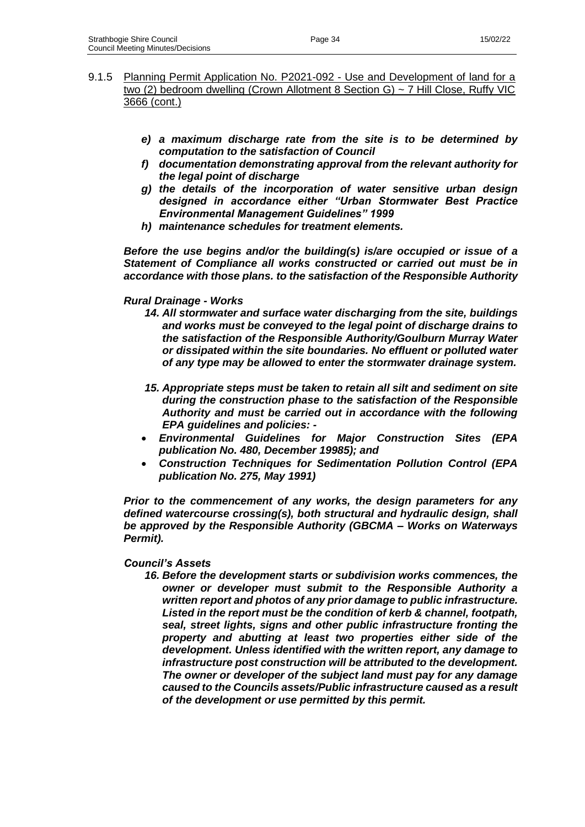- 9.1.5 Planning Permit Application No. P2021-092 Use and Development of land for a two (2) bedroom dwelling (Crown Allotment 8 Section G) ~ 7 Hill Close, Ruffy VIC 3666 (cont.)
	- *e) a maximum discharge rate from the site is to be determined by computation to the satisfaction of Council*
	- *f) documentation demonstrating approval from the relevant authority for the legal point of discharge*
	- *g) the details of the incorporation of water sensitive urban design designed in accordance either "Urban Stormwater Best Practice Environmental Management Guidelines" 1999*
	- *h) maintenance schedules for treatment elements.*

*Before the use begins and/or the building(s) is/are occupied or issue of a Statement of Compliance all works constructed or carried out must be in accordance with those plans. to the satisfaction of the Responsible Authority*

### *Rural Drainage - Works*

- *14. All stormwater and surface water discharging from the site, buildings and works must be conveyed to the legal point of discharge drains to the satisfaction of the Responsible Authority/Goulburn Murray Water or dissipated within the site boundaries. No effluent or polluted water of any type may be allowed to enter the stormwater drainage system.*
- *15. Appropriate steps must be taken to retain all silt and sediment on site during the construction phase to the satisfaction of the Responsible Authority and must be carried out in accordance with the following EPA guidelines and policies: -*
- *Environmental Guidelines for Major Construction Sites (EPA publication No. 480, December 19985); and*
- *Construction Techniques for Sedimentation Pollution Control (EPA publication No. 275, May 1991)*

*Prior to the commencement of any works, the design parameters for any defined watercourse crossing(s), both structural and hydraulic design, shall be approved by the Responsible Authority (GBCMA – Works on Waterways Permit).*

### *Council's Assets*

*16. Before the development starts or subdivision works commences, the owner or developer must submit to the Responsible Authority a written report and photos of any prior damage to public infrastructure. Listed in the report must be the condition of kerb & channel, footpath, seal, street lights, signs and other public infrastructure fronting the property and abutting at least two properties either side of the development. Unless identified with the written report, any damage to infrastructure post construction will be attributed to the development. The owner or developer of the subject land must pay for any damage caused to the Councils assets/Public infrastructure caused as a result of the development or use permitted by this permit.*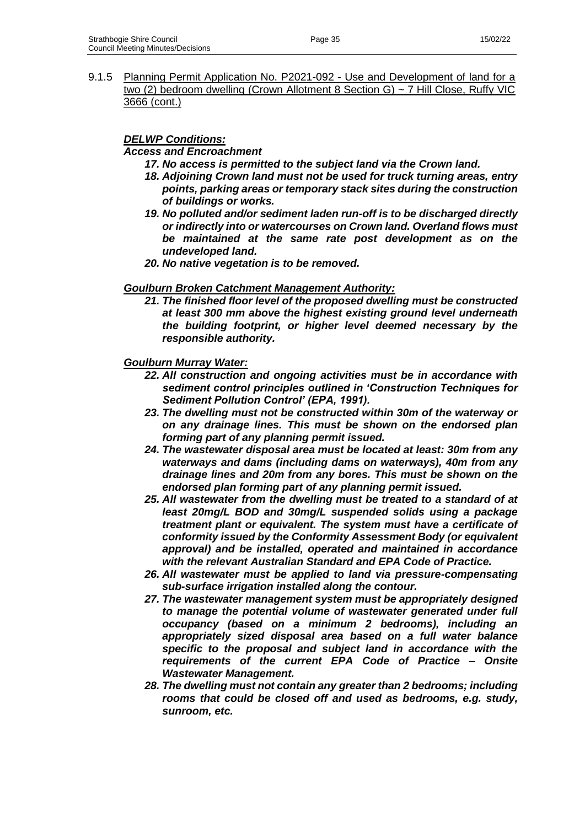9.1.5 Planning Permit Application No. P2021-092 - Use and Development of land for a two (2) bedroom dwelling (Crown Allotment 8 Section G) ~ 7 Hill Close, Ruffy VIC 3666 (cont.)

### *DELWP Conditions:*

#### *Access and Encroachment*

- *17. No access is permitted to the subject land via the Crown land.*
- *18. Adjoining Crown land must not be used for truck turning areas, entry points, parking areas or temporary stack sites during the construction of buildings or works.*
- *19. No polluted and/or sediment laden run-off is to be discharged directly or indirectly into or watercourses on Crown land. Overland flows must be maintained at the same rate post development as on the undeveloped land.*
- *20. No native vegetation is to be removed.*

#### *Goulburn Broken Catchment Management Authority:*

*21. The finished floor level of the proposed dwelling must be constructed at least 300 mm above the highest existing ground level underneath the building footprint, or higher level deemed necessary by the responsible authority.*

#### *Goulburn Murray Water:*

- *22. All construction and ongoing activities must be in accordance with sediment control principles outlined in 'Construction Techniques for Sediment Pollution Control' (EPA, 1991).*
- *23. The dwelling must not be constructed within 30m of the waterway or on any drainage lines. This must be shown on the endorsed plan forming part of any planning permit issued.*
- *24. The wastewater disposal area must be located at least: 30m from any waterways and dams (including dams on waterways), 40m from any drainage lines and 20m from any bores. This must be shown on the endorsed plan forming part of any planning permit issued.*
- *25. All wastewater from the dwelling must be treated to a standard of at least 20mg/L BOD and 30mg/L suspended solids using a package treatment plant or equivalent. The system must have a certificate of conformity issued by the Conformity Assessment Body (or equivalent approval) and be installed, operated and maintained in accordance with the relevant Australian Standard and EPA Code of Practice.*
- *26. All wastewater must be applied to land via pressure-compensating sub-surface irrigation installed along the contour.*
- *27. The wastewater management system must be appropriately designed to manage the potential volume of wastewater generated under full occupancy (based on a minimum 2 bedrooms), including an appropriately sized disposal area based on a full water balance specific to the proposal and subject land in accordance with the requirements of the current EPA Code of Practice – Onsite Wastewater Management.*
- *28. The dwelling must not contain any greater than 2 bedrooms; including rooms that could be closed off and used as bedrooms, e.g. study, sunroom, etc.*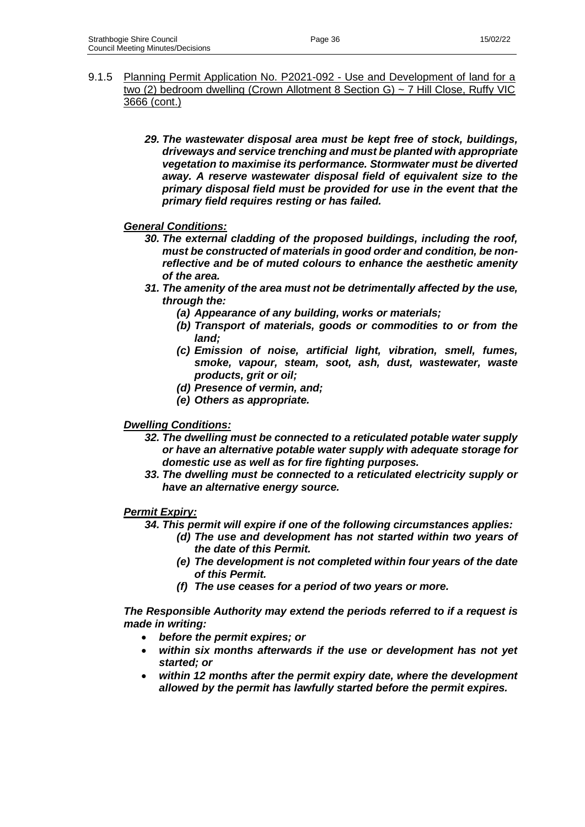- 9.1.5 Planning Permit Application No. P2021-092 Use and Development of land for a two (2) bedroom dwelling (Crown Allotment 8 Section G) ~ 7 Hill Close, Ruffy VIC 3666 (cont.)
	- *29. The wastewater disposal area must be kept free of stock, buildings, driveways and service trenching and must be planted with appropriate vegetation to maximise its performance. Stormwater must be diverted away. A reserve wastewater disposal field of equivalent size to the primary disposal field must be provided for use in the event that the primary field requires resting or has failed.*

*General Conditions:*

- *30. The external cladding of the proposed buildings, including the roof, must be constructed of materials in good order and condition, be nonreflective and be of muted colours to enhance the aesthetic amenity of the area.*
- *31. The amenity of the area must not be detrimentally affected by the use, through the:*
	- *(a) Appearance of any building, works or materials;*
	- *(b) Transport of materials, goods or commodities to or from the land;*
	- *(c) Emission of noise, artificial light, vibration, smell, fumes, smoke, vapour, steam, soot, ash, dust, wastewater, waste products, grit or oil;*
	- *(d) Presence of vermin, and;*
	- *(e) Others as appropriate.*

### *Dwelling Conditions:*

- *32. The dwelling must be connected to a reticulated potable water supply or have an alternative potable water supply with adequate storage for domestic use as well as for fire fighting purposes.*
- *33. The dwelling must be connected to a reticulated electricity supply or have an alternative energy source.*

### *Permit Expiry:*

- *34. This permit will expire if one of the following circumstances applies:*
	- *(d) The use and development has not started within two years of the date of this Permit.*
	- *(e) The development is not completed within four years of the date of this Permit.*
	- *(f) The use ceases for a period of two years or more.*

*The Responsible Authority may extend the periods referred to if a request is made in writing:*

- *before the permit expires; or*
- *within six months afterwards if the use or development has not yet started; or*
- *within 12 months after the permit expiry date, where the development allowed by the permit has lawfully started before the permit expires.*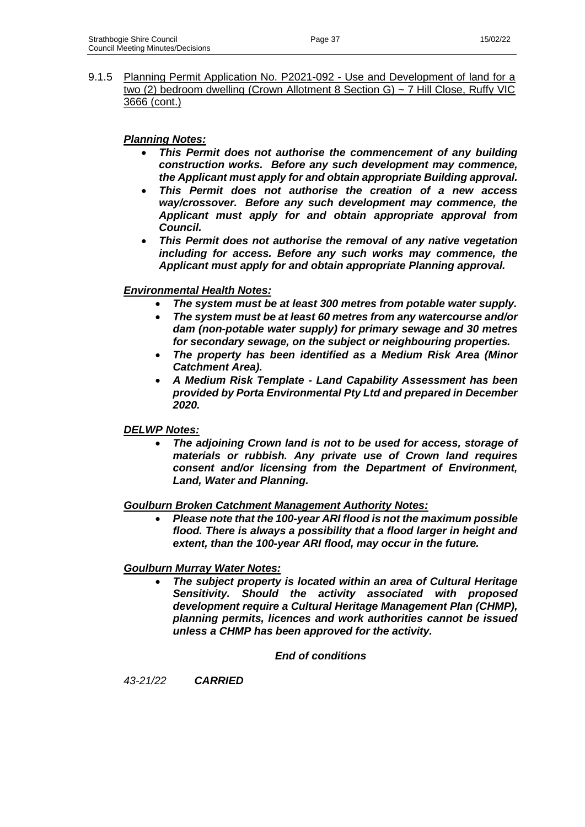9.1.5 Planning Permit Application No. P2021-092 - Use and Development of land for a two (2) bedroom dwelling (Crown Allotment 8 Section G) ~ 7 Hill Close, Ruffy VIC 3666 (cont.)

# *Planning Notes:*

- *This Permit does not authorise the commencement of any building construction works. Before any such development may commence, the Applicant must apply for and obtain appropriate Building approval.*
- *This Permit does not authorise the creation of a new access way/crossover. Before any such development may commence, the Applicant must apply for and obtain appropriate approval from Council.*
- *This Permit does not authorise the removal of any native vegetation including for access. Before any such works may commence, the Applicant must apply for and obtain appropriate Planning approval.*

# *Environmental Health Notes:*

- *The system must be at least 300 metres from potable water supply.*
- *The system must be at least 60 metres from any watercourse and/or dam (non-potable water supply) for primary sewage and 30 metres for secondary sewage, on the subject or neighbouring properties.*
- *The property has been identified as a Medium Risk Area (Minor Catchment Area).*
- *A Medium Risk Template - Land Capability Assessment has been provided by Porta Environmental Pty Ltd and prepared in December 2020.*

### *DELWP Notes:*

• *The adjoining Crown land is not to be used for access, storage of materials or rubbish. Any private use of Crown land requires consent and/or licensing from the Department of Environment, Land, Water and Planning.*

### *Goulburn Broken Catchment Management Authority Notes:*

• *Please note that the 100-year ARI flood is not the maximum possible flood. There is always a possibility that a flood larger in height and extent, than the 100-year ARI flood, may occur in the future.*

### *Goulburn Murray Water Notes:*

• *The subject property is located within an area of Cultural Heritage Sensitivity. Should the activity associated with proposed development require a Cultural Heritage Management Plan (CHMP), planning permits, licences and work authorities cannot be issued unless a CHMP has been approved for the activity.*

### *End of conditions*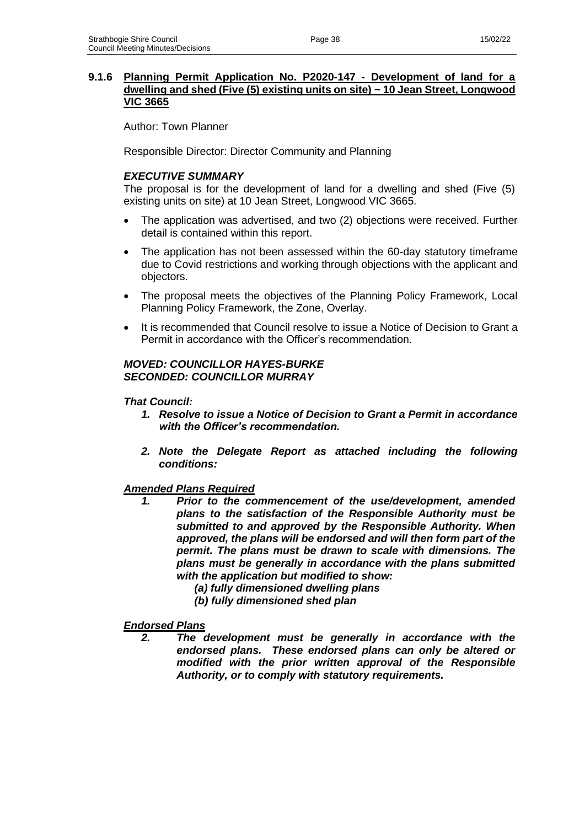## **9.1.6 Planning Permit Application No. P2020-147 - Development of land for a dwelling and shed (Five (5) existing units on site) ~ 10 Jean Street, Longwood VIC 3665**

Author: Town Planner

Responsible Director: Director Community and Planning

# *EXECUTIVE SUMMARY*

The proposal is for the development of land for a dwelling and shed (Five (5) existing units on site) at 10 Jean Street, Longwood VIC 3665.

- The application was advertised, and two (2) objections were received. Further detail is contained within this report.
- The application has not been assessed within the 60-day statutory timeframe due to Covid restrictions and working through objections with the applicant and objectors.
- The proposal meets the objectives of the Planning Policy Framework, Local Planning Policy Framework, the Zone, Overlay.
- It is recommended that Council resolve to issue a Notice of Decision to Grant a Permit in accordance with the Officer's recommendation.

### *MOVED: COUNCILLOR HAYES-BURKE SECONDED: COUNCILLOR MURRAY*

### *That Council:*

- *1. Resolve to issue a Notice of Decision to Grant a Permit in accordance with the Officer's recommendation.*
- *2. Note the Delegate Report as attached including the following conditions:*

# *Amended Plans Required*

- *1. Prior to the commencement of the use/development, amended plans to the satisfaction of the Responsible Authority must be submitted to and approved by the Responsible Authority. When approved, the plans will be endorsed and will then form part of the permit. The plans must be drawn to scale with dimensions. The plans must be generally in accordance with the plans submitted with the application but modified to show:* 
	- *(a) fully dimensioned dwelling plans*
	- *(b) fully dimensioned shed plan*

# *Endorsed Plans*

*2. The development must be generally in accordance with the endorsed plans. These endorsed plans can only be altered or modified with the prior written approval of the Responsible Authority, or to comply with statutory requirements.*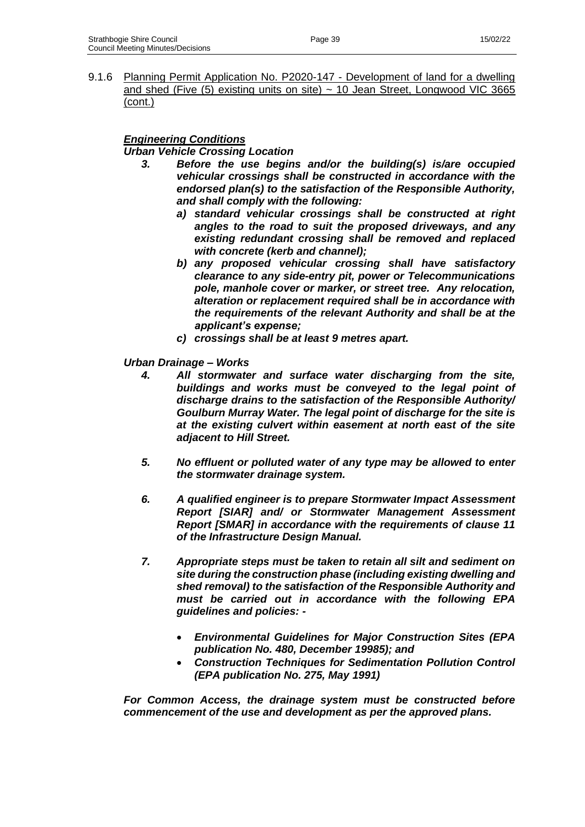9.1.6 Planning Permit Application No. P2020-147 - Development of land for a dwelling and shed (Five  $(5)$  existing units on site)  $\sim$  10 Jean Street, Longwood VIC 3665 (cont.)

# *Engineering Conditions*

*Urban Vehicle Crossing Location*

- *3. Before the use begins and/or the building(s) is/are occupied vehicular crossings shall be constructed in accordance with the endorsed plan(s) to the satisfaction of the Responsible Authority, and shall comply with the following:*
	- *a) standard vehicular crossings shall be constructed at right angles to the road to suit the proposed driveways, and any existing redundant crossing shall be removed and replaced with concrete (kerb and channel);*
	- *b) any proposed vehicular crossing shall have satisfactory clearance to any side-entry pit, power or Telecommunications pole, manhole cover or marker, or street tree. Any relocation, alteration or replacement required shall be in accordance with the requirements of the relevant Authority and shall be at the applicant's expense;*
	- *c) crossings shall be at least 9 metres apart.*

### *Urban Drainage – Works*

- *4. All stormwater and surface water discharging from the site, buildings and works must be conveyed to the legal point of discharge drains to the satisfaction of the Responsible Authority/ Goulburn Murray Water. The legal point of discharge for the site is at the existing culvert within easement at north east of the site adjacent to Hill Street.*
- *5. No effluent or polluted water of any type may be allowed to enter the stormwater drainage system.*
- *6. A qualified engineer is to prepare Stormwater Impact Assessment Report [SIAR] and/ or Stormwater Management Assessment Report [SMAR] in accordance with the requirements of clause 11 of the Infrastructure Design Manual.*
- *7. Appropriate steps must be taken to retain all silt and sediment on site during the construction phase (including existing dwelling and shed removal) to the satisfaction of the Responsible Authority and must be carried out in accordance with the following EPA guidelines and policies: -*
	- *Environmental Guidelines for Major Construction Sites (EPA publication No. 480, December 19985); and*
	- *Construction Techniques for Sedimentation Pollution Control (EPA publication No. 275, May 1991)*

*For Common Access, the drainage system must be constructed before commencement of the use and development as per the approved plans.*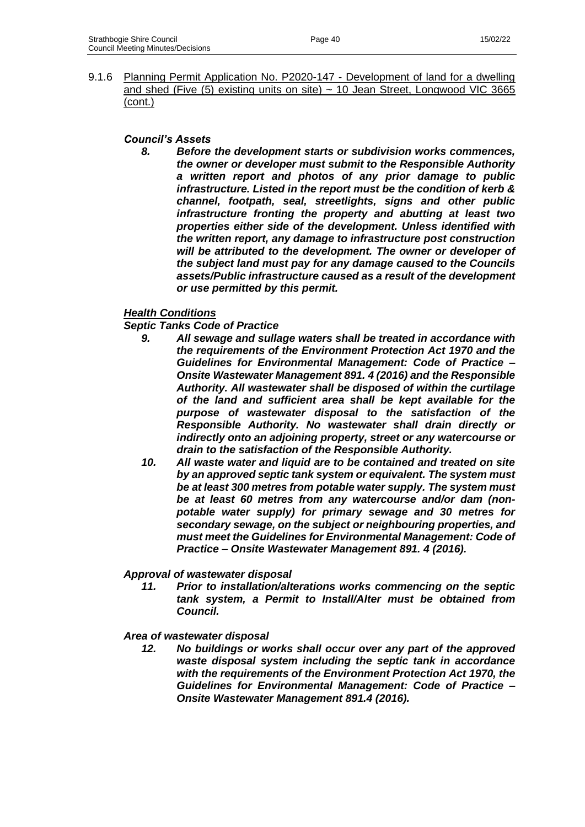9.1.6 Planning Permit Application No. P2020-147 - Development of land for a dwelling and shed (Five  $(5)$  existing units on site)  $\sim$  10 Jean Street, Longwood VIC 3665 (cont.)

### *Council's Assets*

*8. Before the development starts or subdivision works commences, the owner or developer must submit to the Responsible Authority a written report and photos of any prior damage to public infrastructure. Listed in the report must be the condition of kerb & channel, footpath, seal, streetlights, signs and other public infrastructure fronting the property and abutting at least two properties either side of the development. Unless identified with the written report, any damage to infrastructure post construction will be attributed to the development. The owner or developer of the subject land must pay for any damage caused to the Councils assets/Public infrastructure caused as a result of the development or use permitted by this permit.*

# *Health Conditions*

*Septic Tanks Code of Practice* 

- *9. All sewage and sullage waters shall be treated in accordance with the requirements of the Environment Protection Act 1970 and the Guidelines for Environmental Management: Code of Practice – Onsite Wastewater Management 891. 4 (2016) and the Responsible Authority. All wastewater shall be disposed of within the curtilage of the land and sufficient area shall be kept available for the purpose of wastewater disposal to the satisfaction of the Responsible Authority. No wastewater shall drain directly or indirectly onto an adjoining property, street or any watercourse or drain to the satisfaction of the Responsible Authority.*
- *10. All waste water and liquid are to be contained and treated on site by an approved septic tank system or equivalent. The system must be at least 300 metres from potable water supply. The system must be at least 60 metres from any watercourse and/or dam (nonpotable water supply) for primary sewage and 30 metres for secondary sewage, on the subject or neighbouring properties, and must meet the Guidelines for Environmental Management: Code of Practice – Onsite Wastewater Management 891. 4 (2016).*

### *Approval of wastewater disposal*

*11. Prior to installation/alterations works commencing on the septic tank system, a Permit to Install/Alter must be obtained from Council.* 

### *Area of wastewater disposal*

*12. No buildings or works shall occur over any part of the approved waste disposal system including the septic tank in accordance with the requirements of the Environment Protection Act 1970, the Guidelines for Environmental Management: Code of Practice – Onsite Wastewater Management 891.4 (2016).*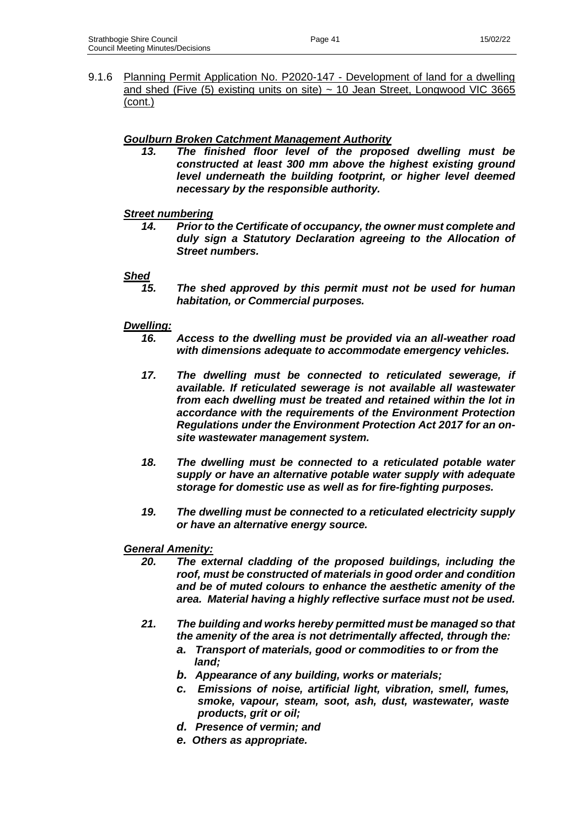9.1.6 Planning Permit Application No. P2020-147 - Development of land for a dwelling and shed (Five  $(5)$  existing units on site)  $\sim$  10 Jean Street, Longwood VIC 3665 (cont.)

# *Goulburn Broken Catchment Management Authority*

*13. The finished floor level of the proposed dwelling must be constructed at least 300 mm above the highest existing ground level underneath the building footprint, or higher level deemed necessary by the responsible authority.*

# *Street numbering*

*14. Prior to the Certificate of occupancy, the owner must complete and duly sign a Statutory Declaration agreeing to the Allocation of Street numbers.*

### *Shed*

*15. The shed approved by this permit must not be used for human habitation, or Commercial purposes.*

### *Dwelling:*

- *16. Access to the dwelling must be provided via an all-weather road with dimensions adequate to accommodate emergency vehicles.*
- *17. The dwelling must be connected to reticulated sewerage, if available. If reticulated sewerage is not available all wastewater from each dwelling must be treated and retained within the lot in accordance with the requirements of the Environment Protection Regulations under the Environment Protection Act 2017 for an onsite wastewater management system.*
- *18. The dwelling must be connected to a reticulated potable water supply or have an alternative potable water supply with adequate storage for domestic use as well as for fire-fighting purposes.*
- *19. The dwelling must be connected to a reticulated electricity supply or have an alternative energy source.*

### *General Amenity:*

- *20. The external cladding of the proposed buildings, including the roof, must be constructed of materials in good order and condition and be of muted colours to enhance the aesthetic amenity of the area. Material having a highly reflective surface must not be used.*
- *21. The building and works hereby permitted must be managed so that the amenity of the area is not detrimentally affected, through the:*
	- *a. Transport of materials, good or commodities to or from the land;*
	- *b. Appearance of any building, works or materials;*
	- *c. Emissions of noise, artificial light, vibration, smell, fumes, smoke, vapour, steam, soot, ash, dust, wastewater, waste products, grit or oil;*
	- *d. Presence of vermin; and*
	- *e. Others as appropriate.*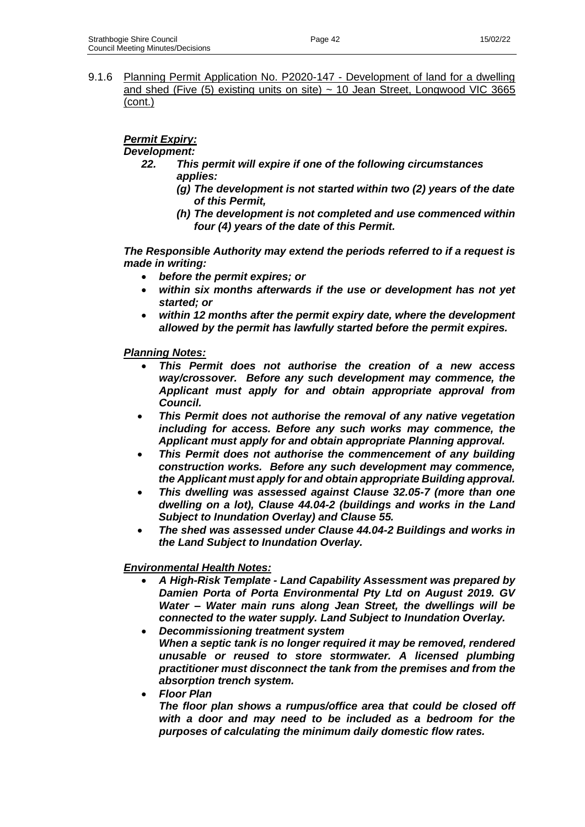9.1.6 Planning Permit Application No. P2020-147 - Development of land for a dwelling and shed (Five  $(5)$  existing units on site)  $\sim$  10 Jean Street, Longwood VIC 3665 (cont.)

# *Permit Expiry:*

*Development:*

- *22. This permit will expire if one of the following circumstances applies:*
	- *(g) The development is not started within two (2) years of the date of this Permit,*
	- *(h) The development is not completed and use commenced within four (4) years of the date of this Permit.*

*The Responsible Authority may extend the periods referred to if a request is made in writing:*

- *before the permit expires; or*
- *within six months afterwards if the use or development has not yet started; or*
- *within 12 months after the permit expiry date, where the development allowed by the permit has lawfully started before the permit expires.*

*Planning Notes:*

- *This Permit does not authorise the creation of a new access way/crossover. Before any such development may commence, the Applicant must apply for and obtain appropriate approval from Council.*
- *This Permit does not authorise the removal of any native vegetation including for access. Before any such works may commence, the Applicant must apply for and obtain appropriate Planning approval.*
- *This Permit does not authorise the commencement of any building construction works. Before any such development may commence, the Applicant must apply for and obtain appropriate Building approval.*
- *This dwelling was assessed against Clause 32.05-7 (more than one dwelling on a lot), Clause 44.04-2 (buildings and works in the Land Subject to Inundation Overlay) and Clause 55.*
- *The shed was assessed under Clause 44.04-2 Buildings and works in the Land Subject to Inundation Overlay.*

# *Environmental Health Notes:*

- *A High-Risk Template - Land Capability Assessment was prepared by Damien Porta of Porta Environmental Pty Ltd on August 2019. GV Water – Water main runs along Jean Street, the dwellings will be connected to the water supply. Land Subject to Inundation Overlay.*
- *Decommissioning treatment system When a septic tank is no longer required it may be removed, rendered unusable or reused to store stormwater. A licensed plumbing practitioner must disconnect the tank from the premises and from the absorption trench system.*
- *Floor Plan*

*The floor plan shows a rumpus/office area that could be closed off with a door and may need to be included as a bedroom for the purposes of calculating the minimum daily domestic flow rates.*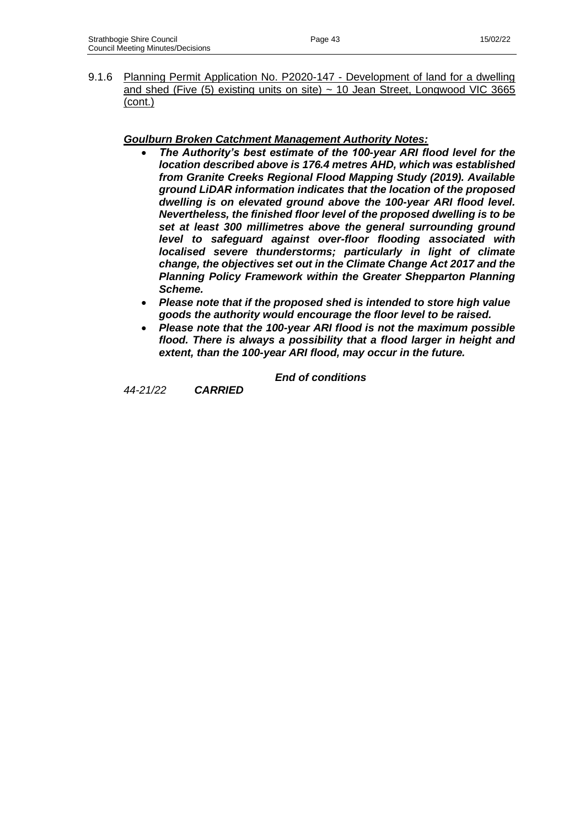9.1.6 Planning Permit Application No. P2020-147 - Development of land for a dwelling and shed (Five  $(5)$  existing units on site)  $\sim$  10 Jean Street, Longwood VIC 3665 (cont.)

# *Goulburn Broken Catchment Management Authority Notes:*

- *The Authority's best estimate of the 100-year ARI flood level for the location described above is 176.4 metres AHD, which was established from Granite Creeks Regional Flood Mapping Study (2019). Available ground LiDAR information indicates that the location of the proposed dwelling is on elevated ground above the 100-year ARI flood level. Nevertheless, the finished floor level of the proposed dwelling is to be set at least 300 millimetres above the general surrounding ground level to safeguard against over-floor flooding associated with localised severe thunderstorms; particularly in light of climate change, the objectives set out in the Climate Change Act 2017 and the Planning Policy Framework within the Greater Shepparton Planning Scheme.*
- *Please note that if the proposed shed is intended to store high value goods the authority would encourage the floor level to be raised.*
- *Please note that the 100-year ARI flood is not the maximum possible flood. There is always a possibility that a flood larger in height and extent, than the 100-year ARI flood, may occur in the future.*

*End of conditions*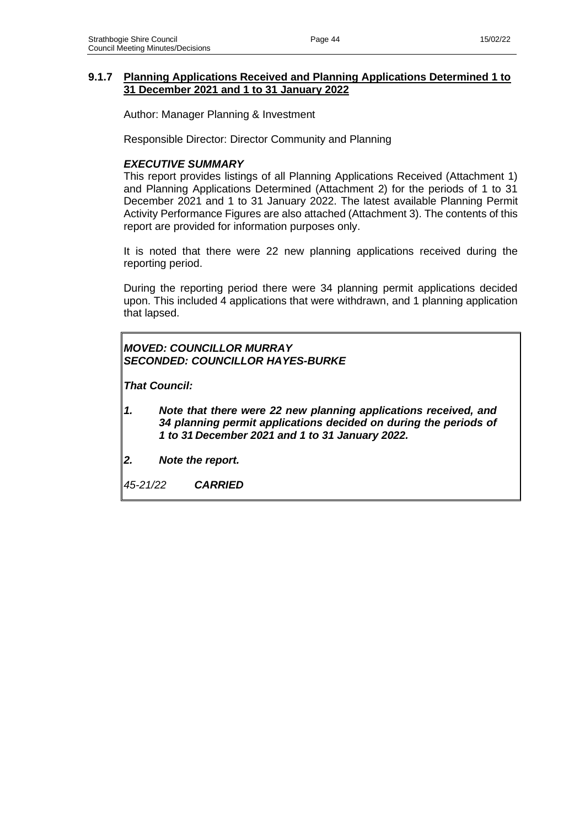### **9.1.7 Planning Applications Received and Planning Applications Determined 1 to 31 December 2021 and 1 to 31 January 2022**

Author: Manager Planning & Investment

Responsible Director: Director Community and Planning

### *EXECUTIVE SUMMARY*

This report provides listings of all Planning Applications Received (Attachment 1) and Planning Applications Determined (Attachment 2) for the periods of 1 to 31 December 2021 and 1 to 31 January 2022. The latest available Planning Permit Activity Performance Figures are also attached (Attachment 3). The contents of this report are provided for information purposes only.

It is noted that there were 22 new planning applications received during the reporting period.

During the reporting period there were 34 planning permit applications decided upon. This included 4 applications that were withdrawn, and 1 planning application that lapsed.

# *MOVED: COUNCILLOR MURRAY SECONDED: COUNCILLOR HAYES-BURKE*

*That Council:*

- *1. Note that there were 22 new planning applications received, and 34 planning permit applications decided on during the periods of 1 to 31 December 2021 and 1 to 31 January 2022.*
- *2. Note the report.*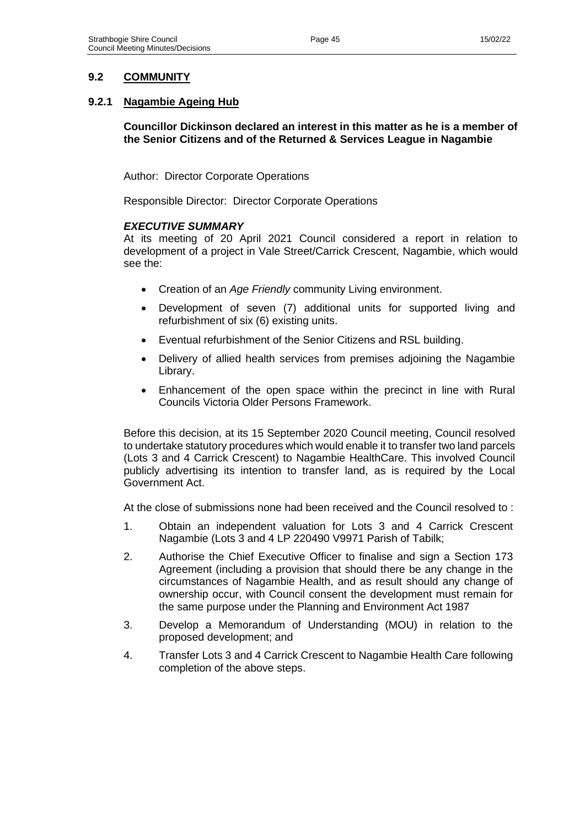# **9.2 COMMUNITY**

### **9.2.1 Nagambie Ageing Hub**

**Councillor Dickinson declared an interest in this matter as he is a member of the Senior Citizens and of the Returned & Services League in Nagambie**

Author: Director Corporate Operations

Responsible Director: Director Corporate Operations

#### *EXECUTIVE SUMMARY*

At its meeting of 20 April 2021 Council considered a report in relation to development of a project in Vale Street/Carrick Crescent, Nagambie, which would see the:

- Creation of an *Age Friendly* community Living environment.
- Development of seven (7) additional units for supported living and refurbishment of six (6) existing units.
- Eventual refurbishment of the Senior Citizens and RSL building.
- Delivery of allied health services from premises adjoining the Nagambie Library.
- Enhancement of the open space within the precinct in line with Rural Councils Victoria Older Persons Framework.

Before this decision, at its 15 September 2020 Council meeting, Council resolved to undertake statutory procedures which would enable it to transfer two land parcels (Lots 3 and 4 Carrick Crescent) to Nagambie HealthCare. This involved Council publicly advertising its intention to transfer land, as is required by the Local Government Act.

At the close of submissions none had been received and the Council resolved to :

- 1. Obtain an independent valuation for Lots 3 and 4 Carrick Crescent Nagambie (Lots 3 and 4 LP 220490 V9971 Parish of Tabilk;
- 2. Authorise the Chief Executive Officer to finalise and sign a Section 173 Agreement (including a provision that should there be any change in the circumstances of Nagambie Health, and as result should any change of ownership occur, with Council consent the development must remain for the same purpose under the Planning and Environment Act 1987
- 3. Develop a Memorandum of Understanding (MOU) in relation to the proposed development; and
- 4. Transfer Lots 3 and 4 Carrick Crescent to Nagambie Health Care following completion of the above steps.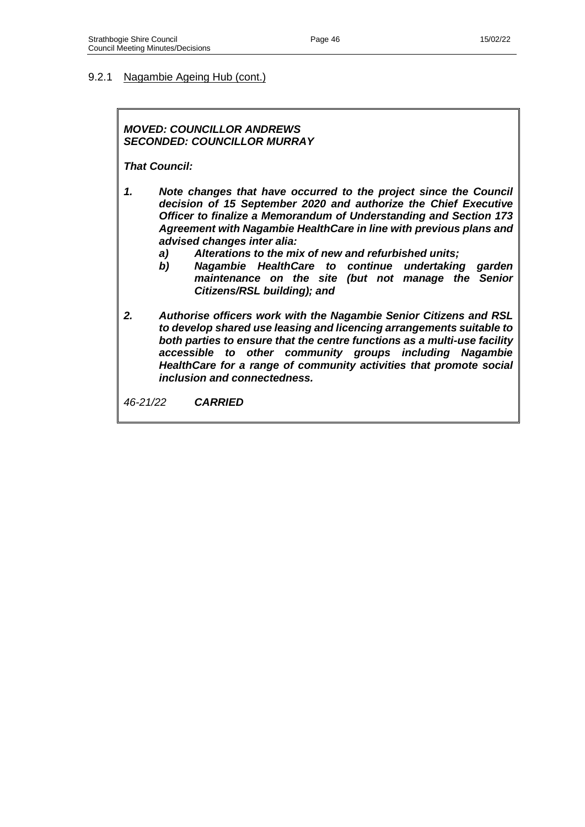#### 9.2.1 Nagambie Ageing Hub (cont.)

### *MOVED: COUNCILLOR ANDREWS SECONDED: COUNCILLOR MURRAY*

*That Council:* 

- *1. Note changes that have occurred to the project since the Council decision of 15 September 2020 and authorize the Chief Executive Officer to finalize a Memorandum of Understanding and Section 173 Agreement with Nagambie HealthCare in line with previous plans and advised changes inter alia:*
	- *a) Alterations to the mix of new and refurbished units;*
		- *b) Nagambie HealthCare to continue undertaking garden maintenance on the site (but not manage the Senior Citizens/RSL building); and*
- *2. Authorise officers work with the Nagambie Senior Citizens and RSL to develop shared use leasing and licencing arrangements suitable to both parties to ensure that the centre functions as a multi-use facility accessible to other community groups including Nagambie HealthCare for a range of community activities that promote social inclusion and connectedness.*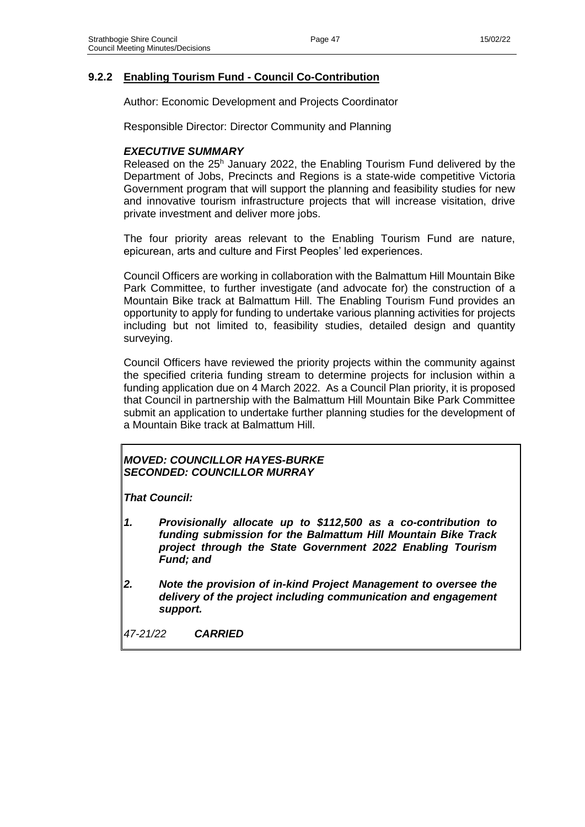### **9.2.2 Enabling Tourism Fund - Council Co-Contribution**

Author: Economic Development and Projects Coordinator

Responsible Director: Director Community and Planning

### *EXECUTIVE SUMMARY*

Released on the 25<sup>h</sup> January 2022, the Enabling Tourism Fund delivered by the Department of Jobs, Precincts and Regions is a state-wide competitive Victoria Government program that will support the planning and feasibility studies for new and innovative tourism infrastructure projects that will increase visitation, drive private investment and deliver more jobs.

The four priority areas relevant to the Enabling Tourism Fund are nature, epicurean, arts and culture and First Peoples' led experiences.

Council Officers are working in collaboration with the Balmattum Hill Mountain Bike Park Committee, to further investigate (and advocate for) the construction of a Mountain Bike track at Balmattum Hill. The Enabling Tourism Fund provides an opportunity to apply for funding to undertake various planning activities for projects including but not limited to, feasibility studies, detailed design and quantity surveying.

Council Officers have reviewed the priority projects within the community against the specified criteria funding stream to determine projects for inclusion within a funding application due on 4 March 2022. As a Council Plan priority, it is proposed that Council in partnership with the Balmattum Hill Mountain Bike Park Committee submit an application to undertake further planning studies for the development of a Mountain Bike track at Balmattum Hill.

### *MOVED: COUNCILLOR HAYES-BURKE SECONDED: COUNCILLOR MURRAY*

*That Council:*

- *1. Provisionally allocate up to \$112,500 as a co-contribution to funding submission for the Balmattum Hill Mountain Bike Track project through the State Government 2022 Enabling Tourism Fund; and*
- *2. Note the provision of in-kind Project Management to oversee the delivery of the project including communication and engagement support.*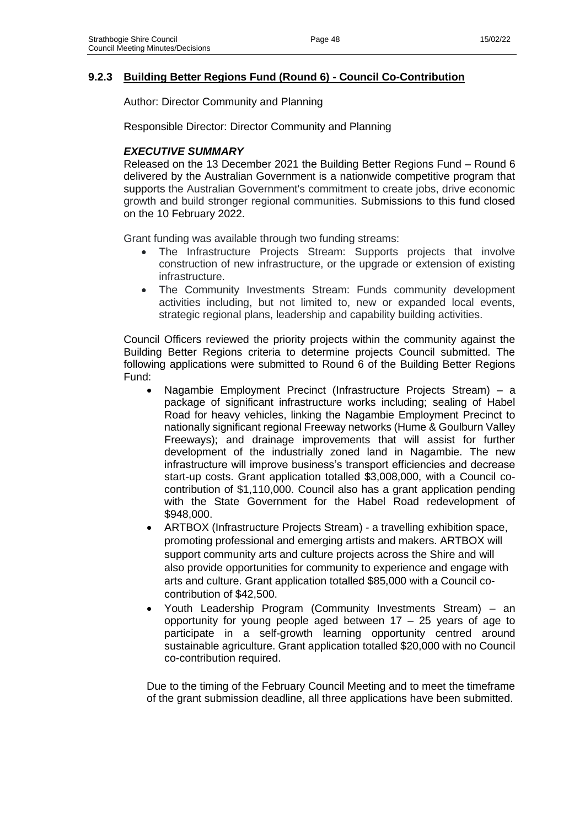# **9.2.3 Building Better Regions Fund (Round 6) - Council Co-Contribution**

Author: Director Community and Planning

Responsible Director: Director Community and Planning

### *EXECUTIVE SUMMARY*

Released on the 13 December 2021 the Building Better Regions Fund – Round 6 delivered by the Australian Government is a nationwide competitive program that supports the Australian Government's commitment to create jobs, drive economic growth and build stronger regional communities. Submissions to this fund closed on the 10 February 2022.

Grant funding was available through two funding streams:

- The Infrastructure Projects Stream: Supports projects that involve construction of new infrastructure, or the upgrade or extension of existing infrastructure.
- The Community Investments Stream: Funds community development activities including, but not limited to, new or expanded local events, strategic regional plans, leadership and capability building activities.

Council Officers reviewed the priority projects within the community against the Building Better Regions criteria to determine projects Council submitted. The following applications were submitted to Round 6 of the Building Better Regions Fund:

- Nagambie Employment Precinct (Infrastructure Projects Stream) a package of significant infrastructure works including; sealing of Habel Road for heavy vehicles, linking the Nagambie Employment Precinct to nationally significant regional Freeway networks (Hume & Goulburn Valley Freeways); and drainage improvements that will assist for further development of the industrially zoned land in Nagambie. The new infrastructure will improve business's transport efficiencies and decrease start-up costs. Grant application totalled \$3,008,000, with a Council cocontribution of \$1,110,000. Council also has a grant application pending with the State Government for the Habel Road redevelopment of \$948,000.
- ARTBOX (Infrastructure Projects Stream) a travelling exhibition space, promoting professional and emerging artists and makers. ARTBOX will support community arts and culture projects across the Shire and will also provide opportunities for community to experience and engage with arts and culture. Grant application totalled \$85,000 with a Council cocontribution of \$42,500.
- Youth Leadership Program (Community Investments Stream) an opportunity for young people aged between 17 – 25 years of age to participate in a self-growth learning opportunity centred around sustainable agriculture. Grant application totalled \$20,000 with no Council co-contribution required.

Due to the timing of the February Council Meeting and to meet the timeframe of the grant submission deadline, all three applications have been submitted.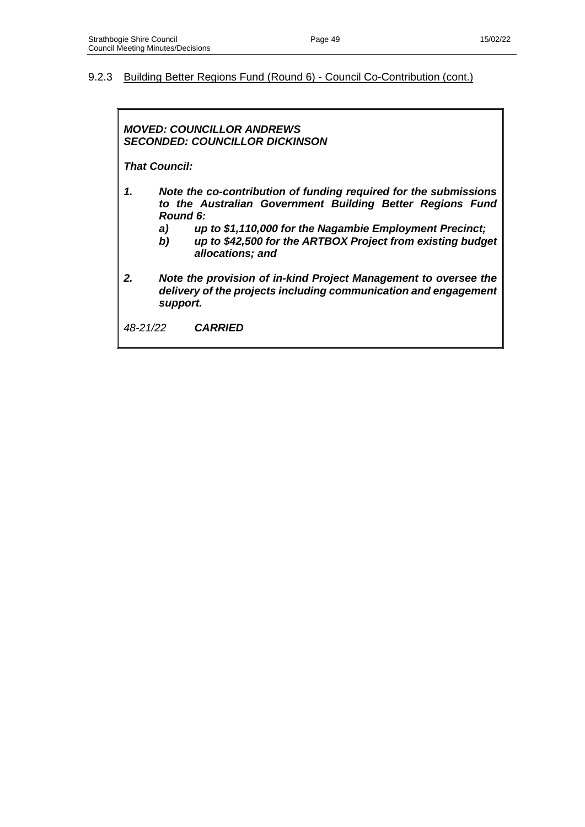#### 9.2.3 Building Better Regions Fund (Round 6) - Council Co-Contribution (cont.)

### *MOVED: COUNCILLOR ANDREWS SECONDED: COUNCILLOR DICKINSON*

*That Council:*

- *1. Note the co-contribution of funding required for the submissions to the Australian Government Building Better Regions Fund Round 6:*
	- *a) up to \$1,110,000 for the Nagambie Employment Precinct;*
	- *b) up to \$42,500 for the ARTBOX Project from existing budget allocations; and*
- *2. Note the provision of in-kind Project Management to oversee the delivery of the projects including communication and engagement support.*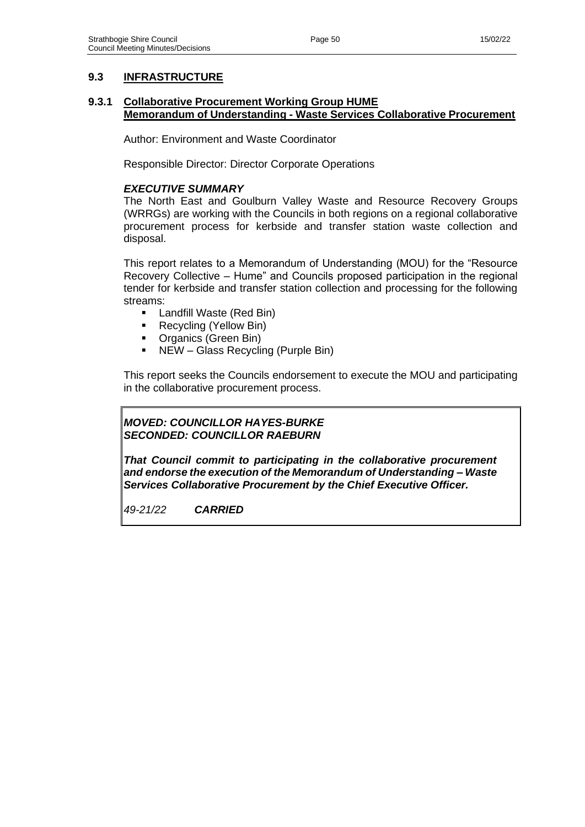# **9.3 INFRASTRUCTURE**

### **9.3.1 Collaborative Procurement Working Group HUME Memorandum of Understanding - Waste Services Collaborative Procurement**

Author: Environment and Waste Coordinator

Responsible Director: Director Corporate Operations

### *EXECUTIVE SUMMARY*

The North East and Goulburn Valley Waste and Resource Recovery Groups (WRRGs) are working with the Councils in both regions on a regional collaborative procurement process for kerbside and transfer station waste collection and disposal.

This report relates to a Memorandum of Understanding (MOU) for the "Resource Recovery Collective – Hume" and Councils proposed participation in the regional tender for kerbside and transfer station collection and processing for the following streams:

- Landfill Waste (Red Bin)
- Recycling (Yellow Bin)
- Organics (Green Bin)
- NEW Glass Recycling (Purple Bin)

This report seeks the Councils endorsement to execute the MOU and participating in the collaborative procurement process.

#### *MOVED: COUNCILLOR HAYES-BURKE SECONDED: COUNCILLOR RAEBURN*

*That Council commit to participating in the collaborative procurement and endorse the execution of the Memorandum of Understanding – Waste Services Collaborative Procurement by the Chief Executive Officer.*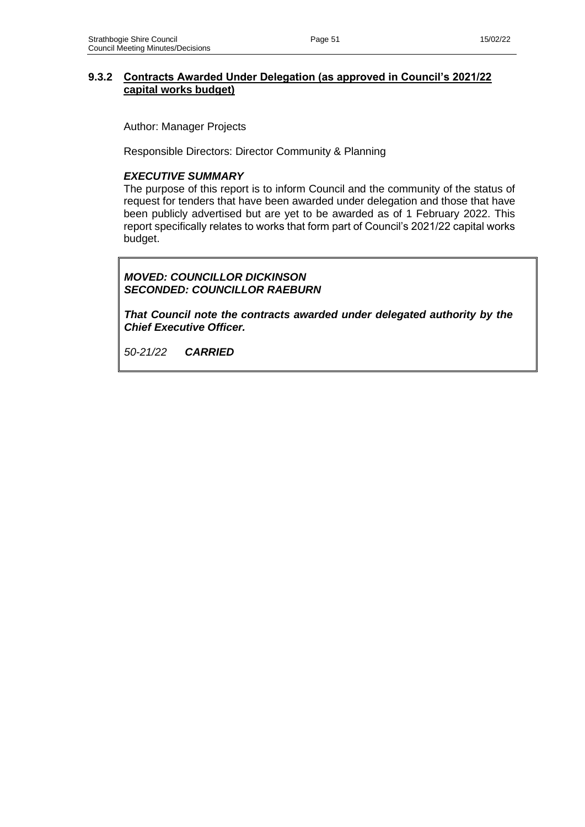# **9.3.2 Contracts Awarded Under Delegation (as approved in Council's 2021/22 capital works budget)**

Author: Manager Projects

Responsible Directors: Director Community & Planning

### *EXECUTIVE SUMMARY*

The purpose of this report is to inform Council and the community of the status of request for tenders that have been awarded under delegation and those that have been publicly advertised but are yet to be awarded as of 1 February 2022. This report specifically relates to works that form part of Council's 2021/22 capital works budget.

# *MOVED: COUNCILLOR DICKINSON SECONDED: COUNCILLOR RAEBURN*

*That Council note the contracts awarded under delegated authority by the Chief Executive Officer.*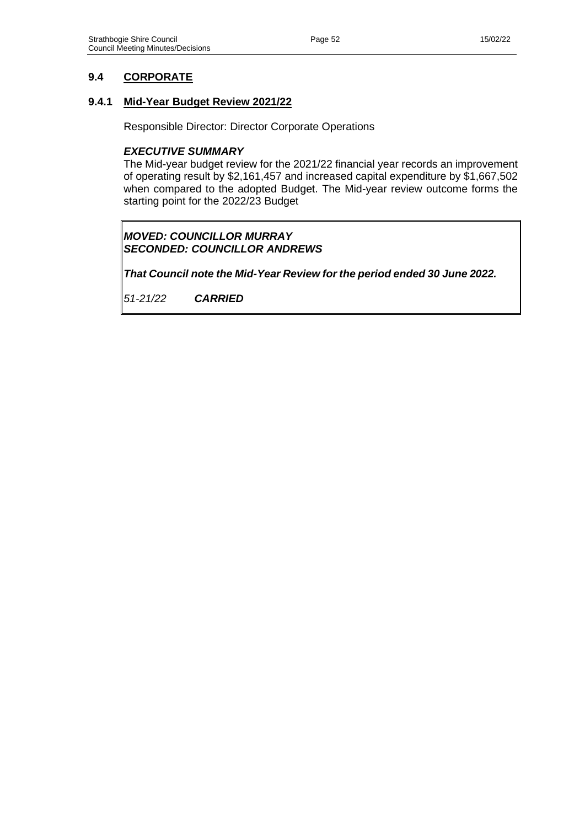# **9.4 CORPORATE**

### **9.4.1 Mid-Year Budget Review 2021/22**

Responsible Director: Director Corporate Operations

### *EXECUTIVE SUMMARY*

The Mid-year budget review for the 2021/22 financial year records an improvement of operating result by \$2,161,457 and increased capital expenditure by \$1,667,502 when compared to the adopted Budget. The Mid-year review outcome forms the starting point for the 2022/23 Budget

### *MOVED: COUNCILLOR MURRAY SECONDED: COUNCILLOR ANDREWS*

*That Council note the Mid-Year Review for the period ended 30 June 2022.*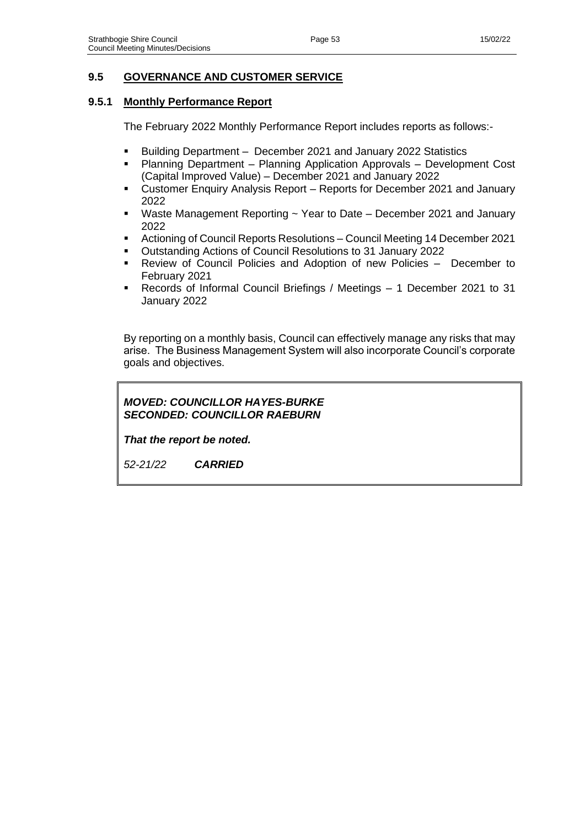# **9.5 GOVERNANCE AND CUSTOMER SERVICE**

### **9.5.1 Monthly Performance Report**

The February 2022 Monthly Performance Report includes reports as follows:-

- Building Department December 2021 and January 2022 Statistics
- Planning Department Planning Application Approvals Development Cost (Capital Improved Value) – December 2021 and January 2022
- Customer Enquiry Analysis Report Reports for December 2021 and January 2022
- Waste Management Reporting ~ Year to Date December 2021 and January 2022
- Actioning of Council Reports Resolutions Council Meeting 14 December 2021
- Outstanding Actions of Council Resolutions to 31 January 2022
- Review of Council Policies and Adoption of new Policies December to February 2021
- Records of Informal Council Briefings / Meetings 1 December 2021 to 31 January 2022

By reporting on a monthly basis, Council can effectively manage any risks that may arise. The Business Management System will also incorporate Council's corporate goals and objectives.

# *MOVED: COUNCILLOR HAYES-BURKE SECONDED: COUNCILLOR RAEBURN*

*That the report be noted.*